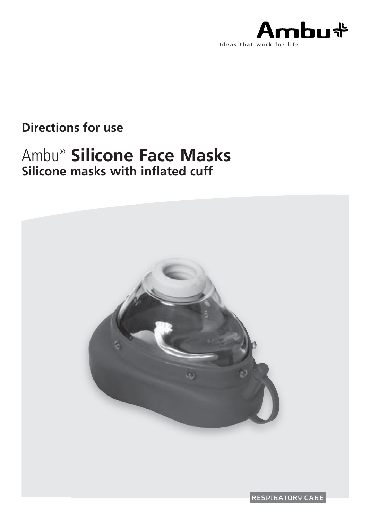

## **Directions for use**

# Ambu®  **Silicone Face Masks Silicone masks with inflated cuff**



RESPIRATORY CARE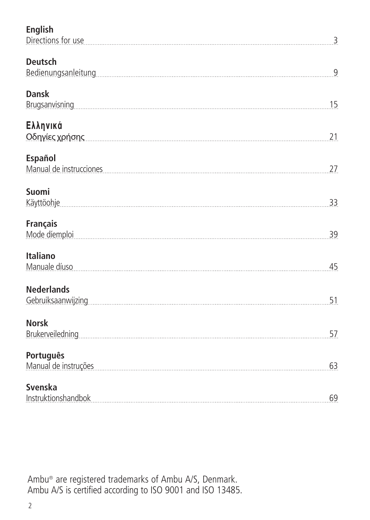| English<br>Directions for use                                                                                                                                                                                                                           | 3  |
|---------------------------------------------------------------------------------------------------------------------------------------------------------------------------------------------------------------------------------------------------------|----|
| Deutsch                                                                                                                                                                                                                                                 | 9  |
| Dansk<br>Brugsanvisning Processors and Contract Contract Contract Contract Contract Contract Contract Contract Contract Contract Contract Contract Contract Contract Contract Contract Contract Contract Contract Contract Contract Con                 | 15 |
| Ελληνικά<br>Οδηγίες χρήσης                                                                                                                                                                                                                              | 21 |
| Español<br>Manual de instrucciones                                                                                                                                                                                                                      | 27 |
| Suomi<br>Käyttöohje                                                                                                                                                                                                                                     | 33 |
| <b>Français</b><br>Mode diemploi <b>contraction and contract of the contract of the contract of the contract of the contract of the contract of the contract of the contract of the contract of the contract of the contract of the contract of the</b> | 39 |
| Italiano<br>Manuale díuso                                                                                                                                                                                                                               | 45 |
| <b>Nederlands</b>                                                                                                                                                                                                                                       | 51 |
| <b>Norsk</b>                                                                                                                                                                                                                                            | 57 |
| Português<br>Manual de instruções                                                                                                                                                                                                                       | 63 |
| Svenska<br>Instruktionshandbok                                                                                                                                                                                                                          | 69 |

Ambu® are registered trademarks of Ambu A/S, Denmark. Ambu A/S is certified according to ISO 9001 and ISO 13485.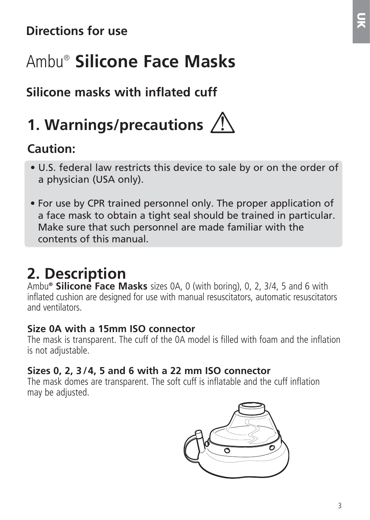# Ambu®  **Silicone Face Masks**

# **Silicone masks with inflated cuff**

# **1. Warnings/precautions**

## **Caution:**

- U.S. federal law restricts this device to sale by or on the order of a physician (USA only).
- For use by CPR trained personnel only. The proper application of a face mask to obtain a tight seal should be trained in particular. Make sure that such personnel are made familiar with the contents of this manual.

# **2. Description**

Ambu**® Silicone Face Masks** sizes 0A, 0 (with boring), 0, 2, 3/4, 5 and 6 with inflated cushion are designed for use with manual resuscitators, automatic resuscitators and ventilators.

#### **Size 0A with a 15mm ISO connector**

The mask is transparent. The cuff of the 0A model is filled with foam and the inflation is not adjustable.

### **Sizes 0, 2, 3 /4, 5 and 6 with a 22 mm ISO connector**

The mask domes are transparent. The soft cuff is inflatable and the cuff inflation may be adjusted.

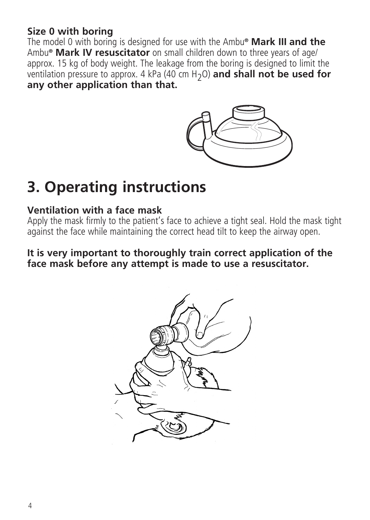#### **Size 0 with boring**

The model 0 with boring is designed for use with the Ambu**® Mark III and the** Ambu**® Mark IV resuscitator** on small children down to three years of age/ approx. 15 kg of body weight. The leakage from the boring is designed to limit the ventilation pressure to approx. 4 kPa (40 cm H2O) **and shall not be used for any other application than that.**



# **3. Operating instructions**

#### **Ventilation with a face mask**

Apply the mask firmly to the patient's face to achieve a tight seal. Hold the mask tight against the face while maintaining the correct head tilt to keep the airway open.

#### **It is very important to thoroughly train correct application of the face mask before any attempt is made to use a resuscitator.**

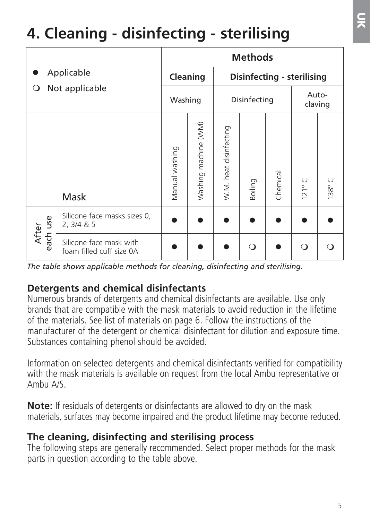# **4. Cleaning - disinfecting - sterilising**

| Applicable<br>Not applicable<br>O |                                                     | <b>Methods</b> |                      |                            |         |                  |                |                    |  |
|-----------------------------------|-----------------------------------------------------|----------------|----------------------|----------------------------|---------|------------------|----------------|--------------------|--|
|                                   |                                                     |                | Cleaning             | Disinfecting - sterilising |         |                  |                |                    |  |
|                                   |                                                     | Washing        |                      | Disinfecting               |         | Auto-<br>claving |                |                    |  |
|                                   | Mask                                                | Manual washing | Washing machine (WM) | W.M. heat disinfecting     | Boiling | Chemical         | $\cup$<br>121° | U<br>$138^{\circ}$ |  |
| use<br>After                      | Silicone face masks sizes 0,<br>2, 3/4 & 8.5        |                |                      |                            |         |                  |                |                    |  |
| аc<br>ã                           | Silicone face mask with<br>foam filled cuff size OA |                |                      |                            | Q       |                  | $\Omega$       |                    |  |

*The table shows applicable methods for cleaning, disinfecting and sterilising.*

#### **Detergents and chemical disinfectants**

Numerous brands of detergents and chemical disinfectants are available. Use only brands that are compatible with the mask materials to avoid reduction in the lifetime of the materials. See list of materials on page 6. Follow the instructions of the manufacturer of the detergent or chemical disinfectant for dilution and exposure time. Substances containing phenol should be avoided.

Information on selected detergents and chemical disinfectants verified for compatibility with the mask materials is available on request from the local Ambu representative or Ambu A/S.

**Note:** If residuals of detergents or disinfectants are allowed to dry on the mask materials, surfaces may become impaired and the product lifetime may become reduced.

#### **The cleaning, disinfecting and sterilising process**

The following steps are generally recommended. Select proper methods for the mask parts in question according to the table above.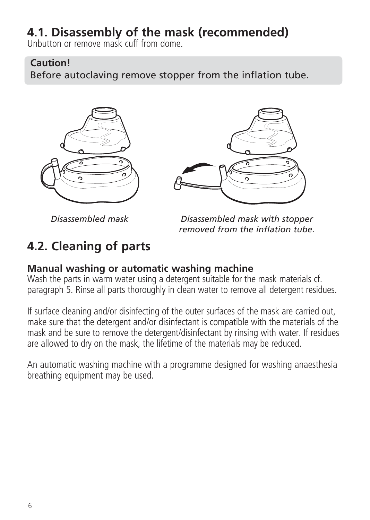## **4.1. Disassembly of the mask (recommended)**

Unbutton or remove mask cuff from dome.

#### **Caution!**

Before autoclaving remove stopper from the inflation tube.





*Disassembled mask* 

*Disassembled mask with stopper removed from the inflation tube.*

# **4.2. Cleaning of parts**

#### **Manual washing or automatic washing machine**

Wash the parts in warm water using a detergent suitable for the mask materials cf. paragraph 5. Rinse all parts thoroughly in clean water to remove all detergent residues.

If surface cleaning and/or disinfecting of the outer surfaces of the mask are carried out, make sure that the detergent and/or disinfectant is compatible with the materials of the mask and be sure to remove the detergent/disinfectant by rinsing with water. If residues are allowed to dry on the mask, the lifetime of the materials may be reduced.

An automatic washing machine with a programme designed for washing anaesthesia breathing equipment may be used.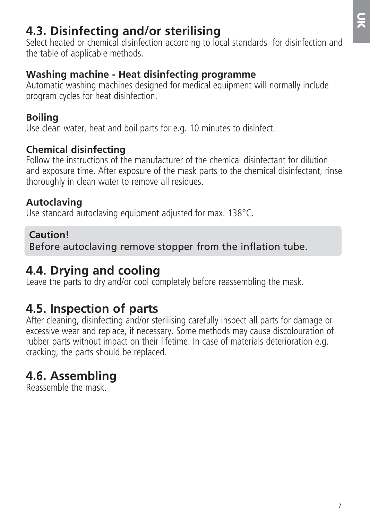## **4.3. Disinfecting and/or sterilising**

Select heated or chemical disinfection according to local standards for disinfection and the table of applicable methods.

#### **Washing machine - Heat disinfecting programme**

Automatic washing machines designed for medical equipment will normally include program cycles for heat disinfection.

### **Boiling**

Use clean water, heat and boil parts for e.g. 10 minutes to disinfect.

### **Chemical disinfecting**

Follow the instructions of the manufacturer of the chemical disinfectant for dilution and exposure time. After exposure of the mask parts to the chemical disinfectant, rinse thoroughly in clean water to remove all residues.

### **Autoclaving**

Use standard autoclaving equipment adjusted for max. 138°C.

### **Caution!**

Before autoclaving remove stopper from the inflation tube.

## **4.4. Drying and cooling**

Leave the parts to dry and/or cool completely before reassembling the mask.

## **4.5. Inspection of parts**

After cleaning, disinfecting and/or sterilising carefully inspect all parts for damage or excessive wear and replace, if necessary. Some methods may cause discolouration of rubber parts without impact on their lifetime. In case of materials deterioration e.g. cracking, the parts should be replaced.

# **4.6. Assembling**

Reassemble the mask.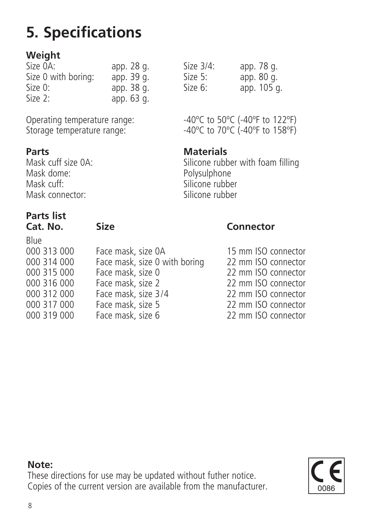# **5. Specifications**

### **Weight**

| Size OA:            | app. 28 g. |
|---------------------|------------|
| Size 0 with boring: | app. 39 q. |
| Size 0:             | app. 38 q. |
| Size 2:             | app. 63 q. |

Storage temperature range:

**Parts Materials**<br>Mask cuff size 04: **Materials** Mask dome: Polysulphone<br>
Mask cuff: Silicone rubbe Mask connector:

# **Parts list**

Blue

| ۲<br>. . | ۰Ο۰<br>u<br>$\sim$ |  |
|----------|--------------------|--|
|          |                    |  |

| DIUE        |                               |
|-------------|-------------------------------|
| 000 313 000 | Face mask, size 0A            |
| 000 314 000 | Face mask, size 0 with boring |
| 000 315 000 | Face mask, size 0             |
| 000 316 000 | Face mask, size 2             |
| 000 312 000 | Face mask, size 3/4           |
| 000 317 000 | Face mask, size 5             |
| 000 319 000 | Face mask size 6              |

Size  $3/4$ : app. 78 g.<br>Size 5: app. 80 g. Size 5:  $\frac{1}{2}$  app. 80 g.<br>Size 6: app. 105.6  $\sin 105$  g.

Operating temperature range:  $-40^{\circ}$ C to 50°C (-40°F to 122°F)<br>Storage temperature range:  $-40^{\circ}$ C to 70°C (-40°F to 158°F)

Mask cuff size 0A: Silicone rubber with foam filling<br>Mask dome: Silicone Polysulphone Silicone rubber<br>Silicone rubber

#### Size Connector

15 mm ISO connector 22 mm ISO connector 22 mm ISO connector 000 316 000 Face mask, size 2 22 mm ISO connector 22 mm ISO connector 22 mm ISO connector 000 319 000 Face mask, size 6 22 mm ISO connector

#### **Note:**



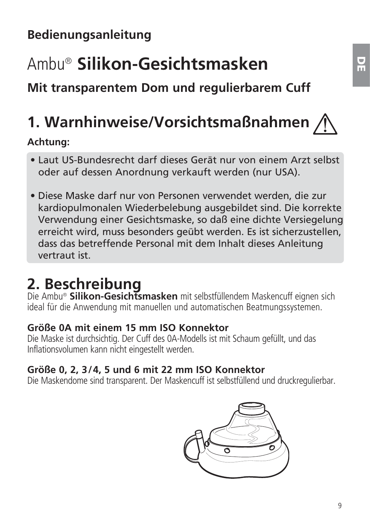# Ambu® **Silikon-Gesichtsmasken**

**Mit transparentem Dom und regulierbarem Cuff**

# **1. Warnhinweise/Vorsichtsmaßnahmen**

### **Achtung:**

- Laut US-Bundesrecht darf dieses Gerät nur von einem Arzt selbst oder auf dessen Anordnung verkauft werden (nur USA).
- Diese Maske darf nur von Personen verwendet werden, die zur kardiopulmonalen Wiederbelebung ausgebildet sind. Die korrekte Verwendung einer Gesichtsmaske, so daß eine dichte Versiegelung erreicht wird, muss besonders geübt werden. Es ist sicherzustellen, dass das betreffende Personal mit dem Inhalt dieses Anleitung vertraut ist.

# **2. Beschreibung**

Die Ambu® **Silikon-Gesichtsmasken** mit selbstfüllendem Maskencuff eignen sich ideal für die Anwendung mit manuellen und automatischen Beatmungssystemen.

### **Größe 0A mit einem 15 mm ISO Konnektor**

Die Maske ist durchsichtig. Der Cuff des 0A-Modells ist mit Schaum gefüllt, und das Inflationsvolumen kann nicht eingestellt werden.

### **Größe 0, 2, 3/4, 5 und 6 mit 22 mm ISO Konnektor**

Die Maskendome sind transparent. Der Maskencuff ist selbstfüllend und druckregulierbar.

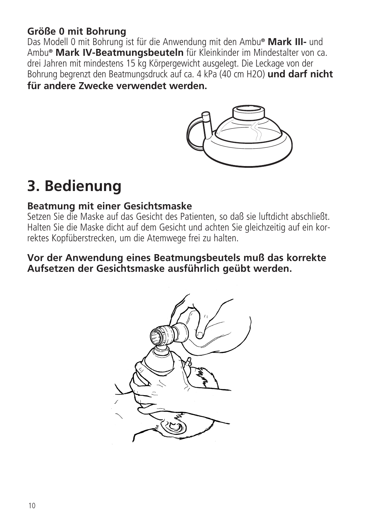#### **Größe 0 mit Bohrung**

Das Modell 0 mit Bohrung ist für die Anwendung mit den Ambu**® Mark III-** und Ambu**® Mark IV-Beatmungsbeuteln** für Kleinkinder im Mindestalter von ca. drei Jahren mit mindestens 15 kg Körpergewicht ausgelegt. Die Leckage von der Bohrung begrenzt den Beatmungsdruck auf ca. 4 kPa (40 cm H2O) **und darf nicht für andere Zwecke verwendet werden.**



# **3. Bedienung**

#### **Beatmung mit einer Gesichtsmaske**

Setzen Sie die Maske auf das Gesicht des Patienten, so daß sie luftdicht abschließt. Halten Sie die Maske dicht auf dem Gesicht und achten Sie gleichzeitig auf ein korrektes Kopfüberstrecken, um die Atemwege frei zu halten.

#### **Vor der Anwendung eines Beatmungsbeutels muß das korrekte Aufsetzen der Gesichtsmaske ausführlich geübt werden.**

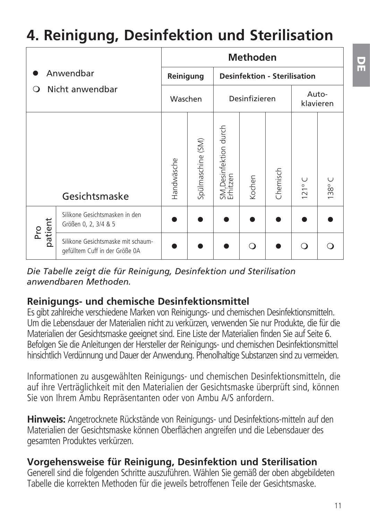# **4. Reinigung, Desinfektion und Sterilisation**

|                                   |                                                                      |                                                  |                   |                                   | <b>Methoden</b> |          |                    |                    |
|-----------------------------------|----------------------------------------------------------------------|--------------------------------------------------|-------------------|-----------------------------------|-----------------|----------|--------------------|--------------------|
| Anwendbar<br>Nicht anwendbar<br>റ |                                                                      | <b>Desinfektion - Sterilisation</b><br>Reinigung |                   |                                   |                 |          |                    |                    |
|                                   |                                                                      | Waschen                                          |                   |                                   | Desinfizieren   |          |                    | Auto-<br>klavieren |
|                                   | Gesichtsmaske                                                        | Handwäsche                                       | Spülmaschine (SM) | SM,Desinfektion durch<br>Erhitzen | Kochen          | Chemisch | U<br>$121^{\circ}$ | U<br>138°          |
| patient<br>Ρr                     | Silikone Gesichtsmasken in den<br>Größen 0, 2, 3/4 & 5               |                                                  |                   |                                   |                 |          |                    |                    |
|                                   | Silikone Gesichtsmaske mit schaum-<br>gefülltem Cuff in der Größe 0A |                                                  |                   |                                   | ∩               |          | ∩                  | ∩                  |

*Die Tabelle zeigt die für Reinigung, Desinfektion und Sterilisation anwendbaren Methoden.*

#### **Reinigungs- und chemische Desinfektionsmittel**

Es gibt zahlreiche verschiedene Marken von Reinigungs- und chemischen Desinfektionsmitteln. Um die Lebensdauer der Materialien nicht zu verkürzen, verwenden Sie nur Produkte, die für die Materialien der Gesichtsmaske geeignet sind. Eine Liste der Materialien finden Sie auf Seite 6. Befolgen Sie die Anleitungen der Hersteller der Reinigungs- und chemischen Desinfektionsmittel hinsichtlich Verdünnung und Dauer der Anwendung. Phenolhaltige Substanzen sind zu vermeiden.

Informationen zu ausgewählten Reinigungs- und chemischen Desinfektionsmitteln, die auf ihre Verträglichkeit mit den Materialien der Gesichtsmaske überprüft sind, können Sie von Ihrem Ambu Repräsentanten oder von Ambu A/S anfordern.

**Hinweis:** Angetrocknete Rückstände von Reinigungs- und Desinfektions-mitteln auf den Materialien der Gesichtsmaske können Oberflächen angreifen und die Lebensdauer des gesamten Produktes verkürzen.

#### **Vorgehensweise für Reinigung, Desinfektion und Sterilisation**

Generell sind die folgenden Schritte auszuführen. Wählen Sie gemäß der oben abgebildeten Tabelle die korrekten Methoden für die jeweils betroffenen Teile der Gesichtsmaske.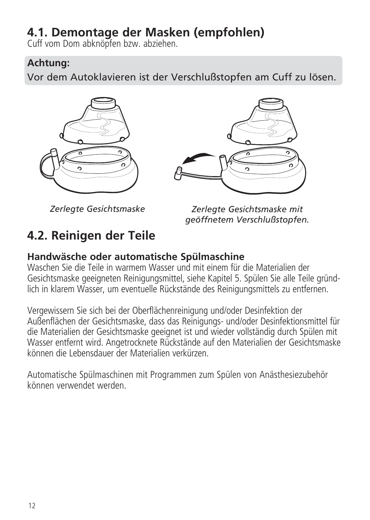## **4.1. Demontage der Masken (empfohlen)**

Cuff vom Dom abknöpfen bzw. abziehen.

#### **Achtung:**

Vor dem Autoklavieren ist der Verschlußstopfen am Cuff zu lösen.





*Zerlegte Gesichtsmaske* 

**4.2. Reinigen der Teile**

*Zerlegte Gesichtsmaske mit geöffnetem Verschlußstopfen.*

#### **Handwäsche oder automatische Spülmaschine**

Waschen Sie die Teile in warmem Wasser und mit einem für die Materialien der Gesichtsmaske geeigneten Reinigungsmittel, siehe Kapitel 5. Spülen Sie alle Teile gründlich in klarem Wasser, um eventu elle Rückstände des Reinigungsmittels zu entfernen.

Vergewissern Sie sich bei der Oberflächenreinigung und/oder Desinfektion der Außenflächen der Gesichtsmaske, dass das Reinigungs- und/oder Desinfektionsmittel für die Materialien der Gesichtsmaske geeignet ist und wieder vollständig durch Spülen mit Wasser entfernt wird. Angetrocknete Rückstände auf den Materialien der Gesichtsmaske können die Lebensdauer der Materialien verkürzen.

Automatische Spülmaschinen mit Programmen zum Spülen von Anästhesiezubehör können verwendet werden.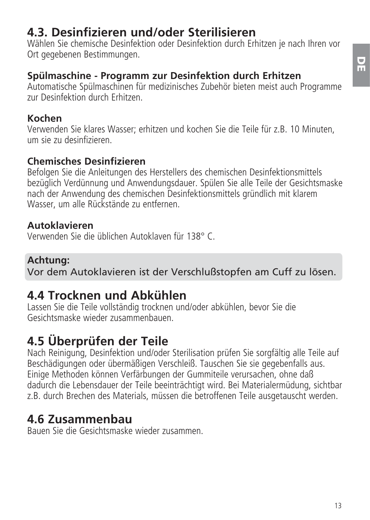## **4.3. Desinfizieren und/oder Sterilisieren**

Wählen Sie chemische Desinfektion oder Desinfektion durch Erhitzen je nach Ihren vor Ort gegebenen Bestimmungen

### **Spülmaschine - Programm zur Desinfektion durch Erhitzen**

Automatische Spülmaschinen für medizinisches Zubehör bieten meist auch Programme zur Desinfektion durch Erhitzen.

### **Kochen**

Verwenden Sie klares Wasser; erhitzen und kochen Sie die Teile für z.B. 10 Minuten, um sie zu desinfizieren.

#### **Chemisches Desinfizieren**

Befolgen Sie die Anleitungen des Herstellers des chemischen Desinfektionsmittels bezüglich Verdünnung und Anwendungsdauer. Spülen Sie alle Teile der Gesichtsmaske nach der Anwendung des chemischen Desinfektionsmittels gründlich mit klarem Wasser, um alle Rückstände zu entfernen.

### **Autoklavieren**

Verwenden Sie die üblichen Autoklaven für 138° C.

### **Achtung:**

Vor dem Autoklavieren ist der Verschlußstopfen am Cuff zu lösen.

## **4.4 Trocknen und Abkühlen**

Lassen Sie die Teile vollständig trocknen und/oder abkühlen, bevor Sie die Gesichtsmaske wieder zusammenbauen.

# **4.5 Überprüfen der Teile**

Nach Reinigung, Desinfektion und/oder Sterilisation prüfen Sie sorgfältig alle Teile auf Beschädigungen oder übermäßigen Verschleiß. Tauschen Sie sie gegebenfalls aus. Einige Methoden können Verfärbungen der Gummiteile verursachen, ohne daß dadurch die Lebensdauer der Teile beeinträchtigt wird. Bei Materialermüdung, sichtbar z.B. durch Brechen des Materials, müssen die betroffenen Teile ausgetauscht werden.

## **4.6 Zusammenbau**

Bauen Sie die Gesichtsmaske wieder zusammen.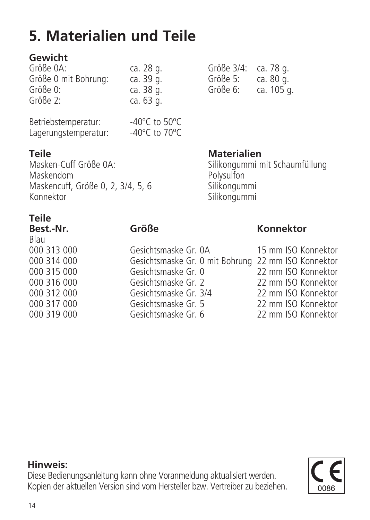# **5. Materialien und Teile**

### **Gewicht**

| Größe 0A:            | ca. 28 g. |
|----------------------|-----------|
| Größe 0 mit Bohrung: | ca. 39 g. |
| Größe 0:             | ca. 38 g. |
| Größe 2:             | ca. 63 g. |
|                      |           |

| Betriebstemperatur:  | $-40^{\circ}$ C to 50 $^{\circ}$ C  |  |
|----------------------|-------------------------------------|--|
| Lagerungstemperatur: | -40 $^{\circ}$ C to 70 $^{\circ}$ C |  |

Größe 3/4: ca. 78 g.<br>Größe 5: ca. 80 g. Größe 5:<br>Größe 6:

**Teile Materialien**<br>Masken-Cuff Größe 0A: **Materialien** Masken-Cuff Größe 0A: Silikongummi mit Schaumfüllung Maskendom Polysulfon Maskencuff, Größe 0, 2, 3/4, 5, 6 Silikongummi Konnektor (Silikongummi) Silikongummi

ca. 105 g.

#### **Teile**

| .           |                                                     |                     |
|-------------|-----------------------------------------------------|---------------------|
| Best.-Nr.   | Größe                                               | Konnektor           |
| Blau        |                                                     |                     |
| 000 313 000 | Gesichtsmaske Gr. 0A                                | 15 mm ISO Konnektor |
| 000 314 000 | Gesichtsmaske Gr. 0 mit Bohrung 22 mm ISO Konnektor |                     |
| 000 315 000 | Gesichtsmaske Gr. 0                                 | 22 mm ISO Konnektor |
| 000 316 000 | Gesichtsmaske Gr. 2                                 | 22 mm ISO Konnektor |
| 000 312 000 | Gesichtsmaske Gr. 3/4                               | 22 mm ISO Konnektor |
| 000 317 000 | Gesichtsmaske Gr. 5                                 | 22 mm ISO Konnektor |
| 000 319 000 | Gesichtsmaske Gr. 6                                 | 22 mm ISO Konnektor |
|             |                                                     |                     |

### **Hinweis:**

Diese Bedienungsanleitung kann ohne Voranmeldung aktualisiert werden. Kopien der aktuellen Version sind vom Hersteller bzw. Vertreiber zu beziehen.

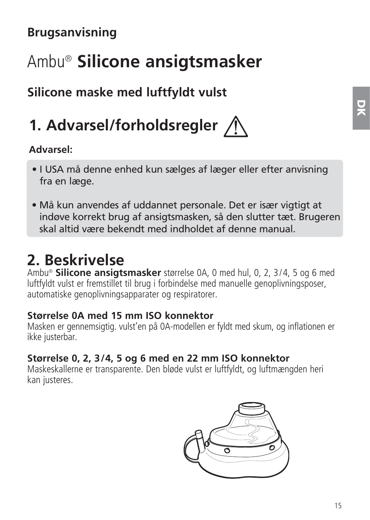# **Brugsanvisning**

# Ambu® **Silicone ansigtsmasker**

## **Silicone maske med luftfyldt vulst**

# **1. Advarsel/forholdsregler**

#### **Advarsel:**

- I USA må denne enhed kun sælges af læger eller efter anvisning fra en læge.
- Må kun anvendes af uddannet personale. Det er især vigtigt at indøve korrekt brug af ansigtsmasken, så den slutter tæt. Brugeren skal altid være bekendt med indholdet af denne manual.

# **2. Beskrivelse**

Ambu® **Silicone ansigtsmasker** størrelse 0A, 0 med hul, 0, 2, 3/4, 5 og 6 med luftfyldt vulst er fremstillet til brug i forbindelse med manuelle genoplivningsposer, automatiske genoplivningsapparater og respiratorer.

#### **Størrelse 0A med 15 mm ISO konnektor**

Masken er gennemsigtig. vulst'en på 0A-modellen er fyldt med skum, og inflationen er ikke justerbar.

### **Størrelse 0, 2, 3/4, 5 og 6 med en 22 mm ISO konnektor**

Maskeskallerne er transparente. Den bløde vulst er luftfyldt, og luftmængden heri kan justeres.

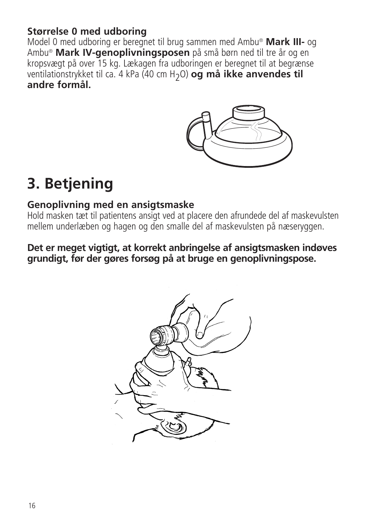#### **Størrelse 0 med udboring**

Model 0 med udboring er beregnet til brug sammen med Ambu® **Mark III-** og Ambu® **Mark IV-genoplivningsposen** på små børn ned til tre år og en kropsvægt på over 15 kg. Lækagen fra udboringen er beregnet til at begrænse ventilationstrykket til ca. 4 kPa (40 cm H2O) **og må ikke anvendes til andre formål.**



# **3. Betjening**

#### **Genoplivning med en ansigtsmaske**

Hold masken tæt til patientens ansigt ved at placere den afrundede del af maskevulsten mellem underlæben og hagen og den smalle del af maskevulsten på næseryggen.

#### **Det er meget vigtigt, at korrekt anbringelse af ansigtsmasken indøves grundigt, før der gøres forsøg på at bruge en genoplivningspose.**

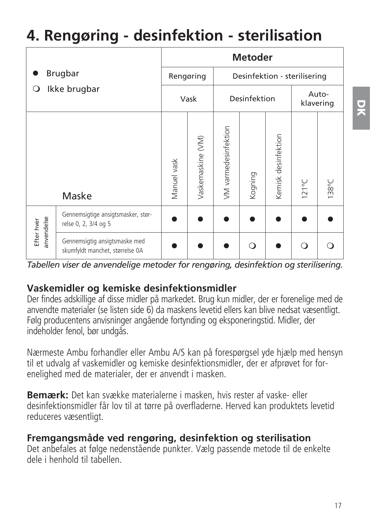# **4. Rengøring - desinfektion - sterilisation**

|                          |                                                                  |             |                                           |                      | <b>Metoder</b> |                     |                    |       |
|--------------------------|------------------------------------------------------------------|-------------|-------------------------------------------|----------------------|----------------|---------------------|--------------------|-------|
|                          | Brugbar                                                          |             | Rengøring<br>Desinfektion - sterilisering |                      |                |                     |                    |       |
| Ikke brugbar<br>О        |                                                                  |             | Vask                                      | Desinfektion         |                |                     | Auto-<br>klavering |       |
|                          | Maske                                                            | Manuel vask | vaskemaskine (VM)                         | /M varmedesinfektion | Kogning        | Kemisk desinfektion | $121^{\circ}$ C    | 138°C |
| anvendelse<br>Efter hver | Gennemsigtige ansigtsmasker, stør-<br>relse 0, 2, 3/4 og 5       |             |                                           |                      |                |                     |                    |       |
|                          | Gennemsigtig ansigtsmaske med<br>skumfyldt manchet, størrelse 0A |             |                                           |                      | ∩              |                     | ∩                  |       |

*Tabellen viser de anvendelige metoder for rengøring, desinfektion og sterilisering.*

#### **Vaskemidler og kemiske desinfektionsmidler**

Der findes adskillige af disse midler på markedet. Brug kun midler, der er forenelige med de anvendte materialer (se listen side 6) da maskens levetid ellers kan blive nedsat væsentligt. Følg producentens anvisninger angående fortynding og eksponeringstid. Midler, der indeholder fenol, bør undgås.

Nærmeste Ambu forhandler eller Ambu A/S kan på forespørgsel yde hjælp med hensyn til et udvalg af vaskemidler og kemiske desinfektionsmidler, der er afprøvet for forenelighed med de materialer, der er anvendt i masken.

**Bemærk:** Det kan svække materialerne i masken, hvis rester af vaske- eller desinfektionsmidler får lov til at tørre på overfladerne. Herved kan produktets levetid reduceres væsentligt.

#### **Fremgangsmåde ved rengøring, desinfektion og sterilisation**

Det anbefales at følge nedenstående punkter. Vælg passende metode til de enkelte dele i henhold til tabellen.

**DK**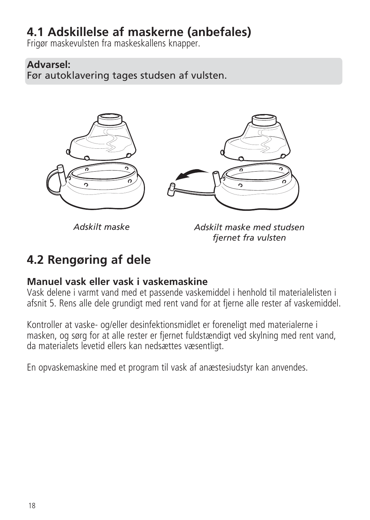## **4.1 Adskillelse af maskerne (anbefales)**

Frigør maskevulsten fra maskeskallens knapper.

### **Advarsel:**

Før autoklavering tages studsen af vulsten.



*Adskilt maske*

*Adskilt maske med studsen fjernet fra vulsten*

# **4.2 Rengøring af dele**

#### **Manuel vask eller vask i vaskemaskine**

Vask delene i varmt vand med et passende vaskemiddel i henhold til materialelisten i afsnit 5. Rens alle dele grundigt med rent vand for at fjerne alle rester af vaskemiddel.

Kontroller at vaske- og/eller desinfektionsmidlet er foreneligt med materialerne i masken, og sørg for at alle rester er fjernet fuldstændigt ved skylning med rent vand, da materialets levetid ellers kan nedsættes væsentligt.

En opvaskemaskine med et program til vask af anæstesiudstyr kan anvendes.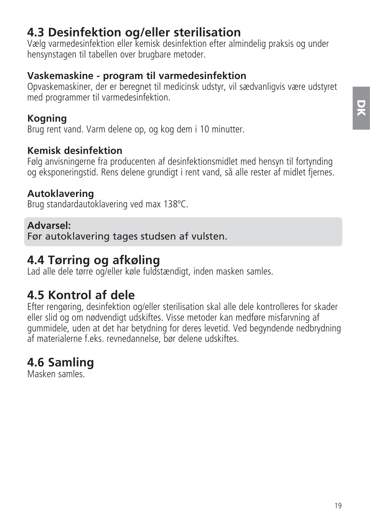## **4.3 Desinfektion og/eller sterilisation**

Vælg varmedesinfektion eller kemisk desinfektion efter almindelig praksis og under hensynstagen til tabellen over brugbare metoder.

#### **Vaskemaskine - program til varmedesinfektion**

Opvaskemaskiner, der er beregnet til medicinsk udstyr, vil sædvanligvis være udstyret med programmer til varmedesinfektion.

### **Kogning**

Brug rent vand. Varm delene op, og kog dem i 10 minutter.

#### **Kemisk desinfektion**

Følg anvisningerne fra producenten af desinfektionsmidlet med hensyn til fortynding og eksponeringstid. Rens delene grundigt i rent vand, så alle rester af midlet fjernes.

### **Autoklavering**

Brug standardautoklavering ved max 138ºC.

#### **Advarsel:**

Før autoklavering tages studsen af vulsten.

## **4.4 Tørring og afkøling**

Lad alle dele tørre og/eller køle fuldstændigt, inden masken samles.

## **4.5 Kontrol af dele**

Efter rengøring, desinfektion og/eller sterilisation skal alle dele kontrolleres for skader eller slid og om nødvendigt udskiftes. Visse metoder kan medføre misfarvning af gummidele, uden at det har betydning for deres levetid. Ved begyndende nedbrydning af materialerne f.eks. revnedannelse, bør delene udskiftes.

# **4.6 Samling**

Masken samles.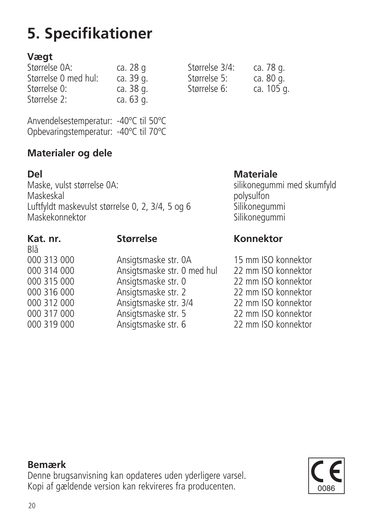# **5. Specifikationer**

#### **Vægt**

| Størrelse OA:        | ca. 28 g  | Størrelse 3/4: | ca. 78 g.  |
|----------------------|-----------|----------------|------------|
| Størrelse 0 med hul: | ca. 39 g. | Størrelse 5:   | ca. 80 g.  |
| Størrelse 0:         | ca. 38 g. | Størrelse 6:   | ca. 105 g. |
| Størrelse 2:         | ca. 63 g. |                |            |

| Størrelse 3/4: | ca. 78 g.  |
|----------------|------------|
| Størrelse 5:   | ca. 80 g.  |
| Størrelse 6:   | ca. 105 g. |

Anvendelsestemperatur: -40ºC til 50ºC Opbevaringstemperatur: -40ºC til 70ºC

### **Materialer og dele**

**Del Materiale** Maske, vulst størrelse 0A: silikonegummi med skumfyld<br>Maskeskal Maskeskal polysulfon Luftfyldt maskevulst størrelse 0, 2, 3/4, 5 og 6 Silikonegummi Maskekonnektor Silikonegummi

Blå<br>ดดด 313.000

000 313 000 Ansigtsmaske str. 0A 15 mm ISO konnektor 000 314 000 Ansigtsmaske str. 0 med hul 22 mm ISO konnektor<br>000 315 000 Ansigtsmaske str. 0 22 mm ISO konnektor 000 315 000 Ansigtsmaske str. 0 22 mm ISO konnektor<br>000 316 000 Ansigtsmaske str. 2 22 mm ISO konnektor 000 316 000 Ansigtsmaske str. 2 22 mm ISO konnektor<br>000 312 000 Ansigtsmaske str. 3/4 22 mm ISO konnektor 000 312 000 Ansigtsmaske str. 3/4 22 mm ISO konnektor<br>000 317 000 Ansigtsmaske str. 5 22 mm ISO konnektor 000 317 000 Ansigtsmaske str. 5 22 mm ISO konnektor Ansigtsmaske str. 6

### **Kat. nr. Størrelse Konnektor**

#### **Bemærk**

Denne brugsanvisning kan opdateres uden yderligere varsel. Kopi af gældende version kan rekvireres fra producenten.

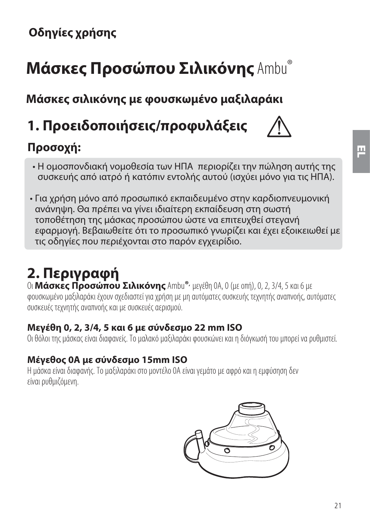# **Μάσκες Προσώπου Σιλικόνης** Ambu®

**Μάσκες σιλικόνης με φουσκωμένο μαξιλαράκι**

**1. Προειδοποιήσεις/προφυλάξεις**

# **Προσοχή:**

- 
- Η ομοσπονδιακή νομοθεσία των ΗΠΑ περιορίζει την πώληση αυτής της συσκευής από ιατρό ή κατόπιν εντολής αυτού (ισχύει μόνο για τις ΗΠΑ).
- Για χρήση μόνο από προσωπικό εκπαιδευμένο στην καρδιοπνευμονική ανάνηψη. Θα πρέπει να γίνει ιδιαίτερη εκπαίδευση στη σωστή τοποθέτηση της μάσκας προσώπου ώστε να επιτευχθεί στεγανή εφαρμογή. Βεβαιωθείτε ότι το προσωπικό γνωρίζει και έχει εξοικειωθεί με τις οδηγίες που περιέχονται στο παρόν εγχειρίδιο.

# **2. Περιγραφή**

Οι **Μάσκες Προσώπου Σιλικόνης** Ambu**®,** μεγέθη 0A, 0 (με οπή), 0, 2, 3/4, 5 και 6 με φουσκωμένο μαξιλαράκι έχουν σχεδιαστεί για χρήση με μη αυτόματες συσκευής τεχνητής αναπνοής, αυτόματες συσκευές τεχνητής αναπνοής και με συσκευές αερισμού.

#### **Μεγέθη 0, 2, 3/4, 5 και 6 με σύνδεσμο 22 mm ISO**

### **Μέγεθος 0A με σύνδεσμο 15mm ISO**

Η μάσκα είναι διαφανής. Το μαξιλαράκι στο μοντέλο θΑ είναι νεμάτο με αφρό και η εμφύσηση δεν είναι ουθμιζόμενη. είναι ρυθμιζόμενη.

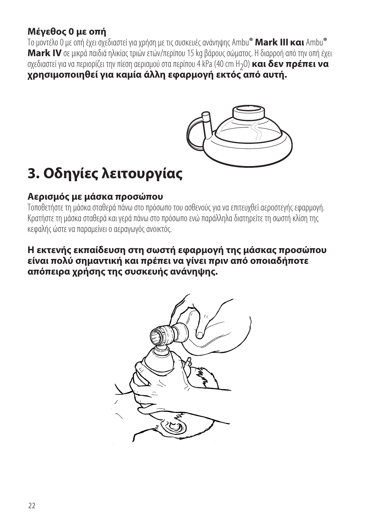#### **Μέγεθος 0 με οπή**

Το μοντέλο 0 με οπή έχει σχεδιαστεί για χρήση με τις συσκευές ανάνηψης Ambu**® Mark III και** Ambu**® Mark IV** σε μικρά παιδιά ηλικίας τριών ετών/περίπου 15 kg βάρους σώματος. Η διαρροή από την οπή έχει<br>σχεδιαστεί για να περιορίζει την πίεση αερισμού στα περίπου 4 kPa (40 cm H<sub>2</sub>O) **και δεν πρέπει να**<br>**χρησιμοποιηθεί για χρησιμοποιηθεί για καμία άλλη εφαρμογή εκτός από αυτή.**



# **3. Οδηγίες λειτουργίας**

#### **Αερισμός με μάσκα προσώπου**

Τοποθετήστε τη μάσκα σταθερά πάνω στο πρόσωπο του ασθενούς νια να επιτευχθεί αεροστενής εφαρμονή. Κρατήστε τη μάσκα σταθερά και γερά πάνω στο πρόσωπο ενώ παράλληλα διατηρείτε τη σωστή κλίση της κεφαλής ώστε να παραμείνει ο αεραγωγός ανοικτός. κεφαλής ώστε να παραμείνει ο αεραγωγός ανοικτός.

#### **Η εκτενής εκπαίδευση στη σωστή εφαρμογή της μάσκας προσώπου είναι πολύ σημαντική και πρέπει να γίνει πριν από οποιαδήποτε απόπειρα χρήσης της συσκευής ανάνηψης.**

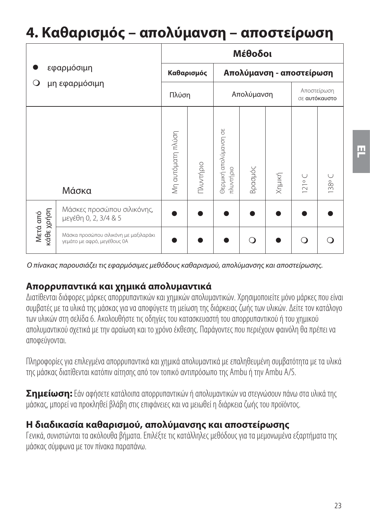# **4. Καθαρισμός – απολύμανση – αποστείρωση**

|                        |                                                                      | Μέθοδοι           |           |                                    |         |        |                              |       |  |
|------------------------|----------------------------------------------------------------------|-------------------|-----------|------------------------------------|---------|--------|------------------------------|-------|--|
|                        | εφαρμόσιμη                                                           | Καθαρισμός        |           | Απολύμανση - αποστείρωση           |         |        |                              |       |  |
| μη εφαρμόσιμη<br>О     |                                                                      | Πλύση             |           | Απολύμανση                         |         |        | Αποστείρωση<br>σε αυτόκαυστο |       |  |
|                        | Μάσκα                                                                | Μη αυτόματη πλύση | Πλυντήριο | Θερμική απολύμανση σε<br>πλυντήριο | Βρασμός | Хημική | 121°C                        | 138°C |  |
| κάθε χρήση<br>Μετά από | Μάσκες προσώπου σιλικόνης,<br>μεγέθη 0, 2, 3/4 & 5                   |                   |           |                                    |         |        |                              |       |  |
|                        | Μάσκα προσώπου σιλικόνη με μαξιλαράκι<br>γεμάτο με αφρό, μεγέθους ΟΑ |                   |           |                                    |         |        | ∩                            |       |  |

Ο πίνακας παρουσιάζει τις εφαρμόσιμες μεθόδους καθαρισμού, απολύμανσης και αποστείρωσης.

#### **Απορρυπαντικά και χημικά απολυμαντικά**

Διατίθενται διάφορες μάρκες απορουπαντικών και νημικών απολυμαντικών. Χρησιμοποιείτε μόνο μάρκες που είναι συμβατές με τα υλικά της μάσκας για να αποφύνετε τη μείωση της διάρκειας ζωής των υλικών. Δείτε τον κατάλονο των υλικών στη σελίδα 6. Ακολουθήστε τις οδηνίες του κατασκευαστή του απορουπαντικού ή του χημικού. σπολυμαντικού σχετικά με την αραίωση και το χρόνο έκθεσης. Παράνοντες που περιένουν φαινόλη θα πρέπει να αποφεύνονται και το χρόνο έκθεσης. Παράγονται το χρόνο έκθεσης που περιέχουν φαινόλη θα πρέπει να πρέπει να πρ αποφεύγονται.

Πληροφορίες νια επιλενιένα απορουπαντικά και νημικά απολυμαντικά με επαληθευμένη συμβατότητα με τα υλικά της μάσκας διατίθενται κατόπιν αίτησης από τον τοπικό αντιπρόσωπο της Ambu ή την Ambu A/S. της μάσκας διατίθενται κατόπιν αίτησης από τον τοπικό αντιπρόσωπο της Ambu ή την Ambu A/S.

**Σημείωση:** Εάν αφήσετε κατάλοιπα απορρυπαντικών ή απολυμαντικών να στεγνώσουν πάνω στα υλικά της μάσκας, μπορεί να προκληθεί βλάβη στις επιφάνειες και να μειωθεί η διάρκεια ζωής του προϊόντος.

#### **Η διαδικασία καθαρισμού, απολύμανσης και αποστείρωσης**

Γενικά, συνιστώνται τα ακόλουθα βήματα. Επιλέξτε τις κατάλληλες μεθόδους νια τα μεμονωμένα εξαρτήματα της Γιάσκας σύμφωνα με τον πίνακα παραπάνω.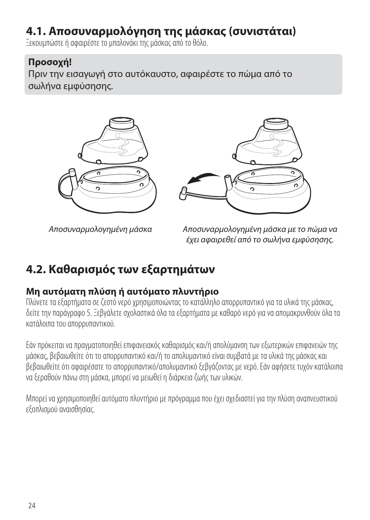## **4.1. Αποσυναρμολόγηση της μάσκας (συνιστάται)**

Εκουμπώστε ή αφαιοέστε το μπαλονάκι της μάσκας από το θόλο.

#### **Προσοχή!**

Πριν την εισαγωγή στο αυτόκαυστο, αφαιρέστε το πώμα από το σωλήνα εμφύσησης.





Αποσυναρμολογημένη μάσκα

Αποσυναρμολογημένη μάσκα με το πώμα να έχει αφαιρεθεί από το σωλήνα εμφύσησης.

## **4.2. Καθαρισμός των εξαρτημάτων**

#### **Μη αυτόματη πλύση ή αυτόματο πλυντήριο**

Πλύνετε τα εξαρτήματα σε ζεστό νερό χρησιμοποιώντας το κατάλληλο απορρυπαντικό για τα υλικά της μάσκας, δείτε την παράνραφο 5. Ξεβνάλετε σχολαστικά όλα τα εξαρτήματα με καθαρό νερό για να απομακρυνθούν όλα τα κατάλοιπα του απορουπαντικού

Εάν πρόκειται να πραγματοποιηθεί επιφανειακός καθαρισμός και/ή απολύμανση των εξωτερικών επιφανειών της μάσκας, βεβαιωθείτε ότι το απορρυπαντικό και/ή το απολυμαντικό είναι συμβατά με τα υλικά της μάσκας και βεβαιωθείτε ότι αφαιρέσατε το απορρυπαντικό/απολυμαντικό ξεβγάζοντας με νερό. Εάν αφήσετε τυχόν κατάλοιπα να ξεραθούν πάνω στη μάσκα, μπορεί να μειωθεί η διάρκεια ζωής των υλικών. να ξεραθούν πάνω στη μάσκα, μπορεί να μειωθεί η διάρκεια ζωής των υλικών.

Μπορεί να χρησιμοποιηθεί αυτόματο πλυντήριο με πρόγραμμα που έχει σχεδιαστεί για την πλύση αναπνευστικού<br>εξοπλισιιού αναισθησίας. εξοπλισμού αναισθησίας.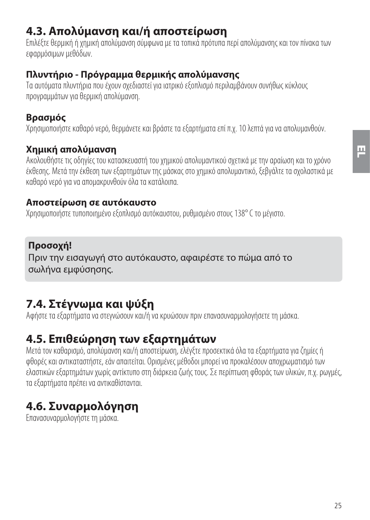## **4.3. Απολύμανση και/ή αποστείρωση**

Επιλέξτε θερμική ή χημική απολύμανση σύμφωνα με τα τοπικά πρότυπα περί απολύμανσης και τον πίνακα των Επιλέξτε θερμική ή χημική απολύμανση σύμφωνα με τα τοπικά πρότυπα περί απολύμανσης και τον πίνακα των

**Πλυντήριο - Πρόγραμμα θερμικής απολύμανσης** προνοσιμιάτων νια θεομική απολύμανση.

#### **Βρασμός**

Χρησιμοποιήστε καθαρό νερό, θερμάνετε και βράστε τα εξαρτήματα επί π.χ. 10 λεπτά για να απολυμανθούν. Χρησιμοποιήστε καθαρό νερό, θερμάνετε και βράστε τα εξαρτήματα επί π.χ. 10 λεπτά για να απολυμανθούν.

#### **Χημική απολύμανση**

Ακολουθήστε τις οδηγίες του κατασκευαστή του γημικού απολυμαντικού σγετικά με την αραίωση και το γρόνο έκθεσης. Μετά την έκθεση των εξαρτημάτων της μάσκας στο χημικό απολυμαντικό. ξεβνάλτε τα σχολαστικά με καθαρό νερό για να απομακρυνθούν όλα τα κατάλοιπα. καθαρό νερό για να απομακρυνθούν όλα τα κατάλοιπα.

#### **Αποστείρωση σε αυτόκαυστο**

Χρησιμοποιήστε τυποποιημένο εξοπλισμό αυτόκαυστου, ρυθμισμένο στους 138° C το μένιστο. Χρησιμοποιήστε τυποποιημένο εξοπλισμό αυτόκαυστου, ρυθμισμένο στους 138° C το μέγιστο.

#### **Προσοχή!**

Πριν την εισαγωγή στο αυτόκαυστο, αφαιρέστε το πώμα από το σωλήνα εμφύσησης.

## **7.4. Στέγνωμα και ψύξη**

Αφήστε τα εξαρτήματα να στεννώσουν και/ή να κουώσουν ποιν επανασυναρμολονήσετε τη μάσκα. Αφήστε τα εξαρτήματα να στεγνώσουν και/ή να κρυώσουν πριν επανασυναρμολογήσετε τη μάσκα.

## **4.5. Επιθεώρηση των εξαρτημάτων**

Μετά τον καθαρισμό, απολύμανση και/ή αποστείοωση. ελέγετε προσεκτικά όλα τα εξαρτήματα για ζημίες ή φθορές και αντικαταστήστε, εάν απαιτείται. Ορισμένες μέθοδοι μπορεί να προκαλέσουν αποχρωματισμό των ελαστικών εξαρτημάτων χωρίς αντίκτυπο στη διάρκεια ζωής τους. Σε περίπτωση φθοράς των υλικών, π.χ. ρωνμές. τα εξαρτήματα πρέπει να αντικαθίστανται. τα εξαρτήματα πρέπει να αντικαθίστανται.

## **4.6. Συναρμολόγηση**

Επανασυναρμολογήστε τη μάσκα.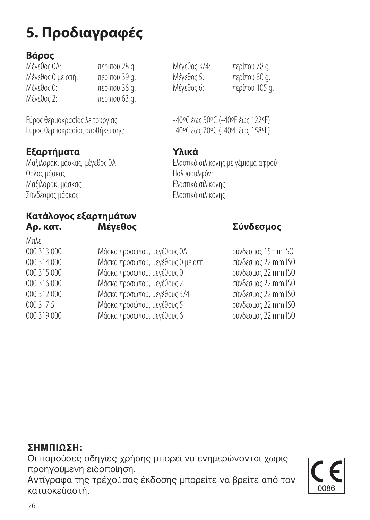# **5. Προδιαγραφές**

### **Βάρος**

| Μένεθος ΟΑ:       | περίπου 28 g. | Μένεθος 3/4: | περίπου 78 g.  |
|-------------------|---------------|--------------|----------------|
| Μέγεθος Ο με οπή: | περίπου 39 g. | Μένεθος 5:   | περίπου 80 g.  |
| Μένεθος Ο:        | περίπου 38 g. | Μένεθος 6:   | περίπου 105 α. |
| Μένεθος 2:        | περίπου 63 α. |              |                |
|                   |               |              |                |

Εύρος θερμοκρασίας λειτουργίας: Εύρος θερμοκρασίας αποθήκευσης: - -40°C έως 70°C (-40°F έως 158°F)

**Εξαρτήματα Τα Υλικά**<br>Μαξιλαράκι μάσκας, μέγεθος ΟΑ: Ελαστικό Ι Θόλος μάσκας: Πολυσουλφόνη

Μαξιλαράκι μάσκας: Ελαστικό σιλικόνης

#### **Κατάλογος εξαρτημάτων Αρ. κατ. Μέγεθος Σύνδεσμος**

| Μπλε        |                                   |                     |
|-------------|-----------------------------------|---------------------|
| 000 313 000 | Μάσκα προσώπου, μεγέθους ΟΑ       | σύνδεσμος 15mm ISO  |
| 000 314 000 | Μάσκα προσώπου, μεγέθους 0 με οπή | σύνδεσμος 22 mm ISO |
| 000 315 000 | Μάσκα προσώπου, μεγέθους Ο        | σύνδεσμος 22 mm ISO |
| 000 316 000 | Μάσκα προσώπου, μεγέθους 2        | σύνδεσμος 22 mm ISO |
| 000 312 000 | Μάσκα προσώπου, μεγέθους 3/4      | σύνδεσμος 22 mm ISO |
| 000 317 5   | Μάσκα προσώπου, μεγέθους 5        | σύνδεσμος 22 mm ISO |
| 000 319 000 | Μάσκα προσώπου, μεγέθους 6        | σύνδεσμος 22 mm ISO |
|             |                                   |                     |

#### **™Hª¶πø™H:**

Οι παρούσες οδηγίες χρήσης μπορεί να ενημερώνονται χωρίς προηνούμενη ειδοποίηση.

Αντίγραφα της τρέχουσας έκδοσης μπορείτε να βρείτε από τον κατασκεύαστή.

| հ |  |  |  |  |  |  |  |
|---|--|--|--|--|--|--|--|

 $-40$ °C  $\acute{\epsilon}$ ως 50°C (-40°F  $\acute{\epsilon}$ ως 122°F)

Μαξιλαράκι μάσκας, μέγεθος 0A: Ελαστικό σιλικόνης με γέμισμα αφρού<br>Θόλος μάσκας: Ελλάδας του Πολυσουλφόνη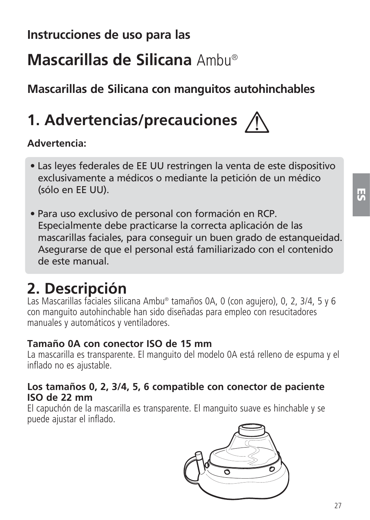## **Instrucciones de uso para las**

# **Mascarillas de Silicana** Ambu®

**Mascarillas de Silicana con manguitos autohinchables**

# **1. Advertencias/precauciones**

#### **Advertencia:**

- Las leyes federales de EE UU restringen la venta de este dispositivo exclusivamente a médicos o mediante la petición de un médico (sólo en EE UU).
- Para uso exclusivo de personal con formación en RCP. Especialmente debe practicarse la correcta aplicación de las mascarillas faciales, para conseguir un buen grado de estanqueidad. Asegurarse de que el personal está familiarizado con el contenido de este manual.

# **2. Descripción**

Las Mascarillas faciales silicana Ambu® tamaños 0A, 0 (con agujero), 0, 2, 3/4, 5 y 6 con manguito autohinchable han sido diseñadas para empleo con resucitadores manuales y automáticos y ventiladores.

#### **Tamaño 0A con conector ISO de 15 mm**

La mascarilla es transparente. El manguito del modelo 0A está relleno de espuma y el inflado no es ajustable.

#### **Los tamaños 0, 2, 3/4, 5, 6 compatible con conector de paciente ISO de 22 mm**

El capuchón de la mascarilla es transparente. El manguito suave es hinchable y se puede ajustar el inflado.

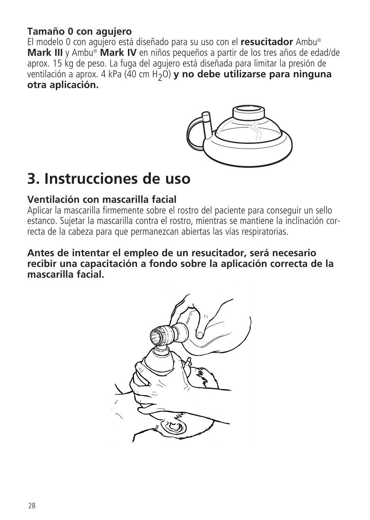#### **Tamaño 0 con agujero**

El modelo 0 con agujero está diseñado para su uso con el **resucitador** Ambu® **Mark III** y Ambu® **Mark IV** en niños pequeños a partir de los tres años de edad/de aprox. 15 kg de peso. La fuga del agujero está diseñada para limitar la presión de ventilación a aprox. 4 kPa (40 cm H2O) **y no debe utilizarse para ninguna otra aplicación.**



# **3. Instrucciones de uso**

#### **Ventilación con mascarilla facial**

Aplicar la mascarilla firmemente sobre el rostro del paciente para conseguir un sello estanco. Sujetar la mascarilla contra el rostro, mientras se mantiene la inclinación correcta de la cabeza para que permanezcan abiertas las vías respiratorias.

#### **Antes de intentar el empleo de un resucitador, será necesario recibir una capacitación a fondo sobre la aplicación correcta de la mascarilla facial.**

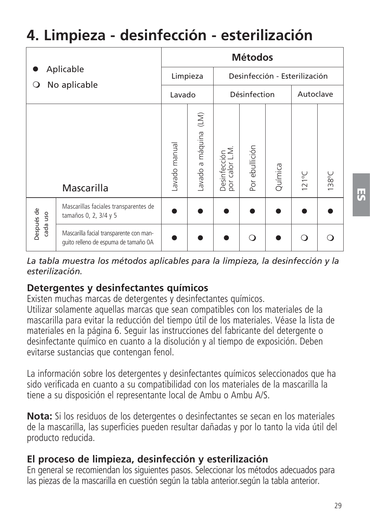# **4. Limpieza - desinfección - esterilización**

| Aplicable<br>No aplicable<br>O |                                                                                 | <b>Métodos</b> |                                         |                               |                |         |                 |       |  |
|--------------------------------|---------------------------------------------------------------------------------|----------------|-----------------------------------------|-------------------------------|----------------|---------|-----------------|-------|--|
|                                |                                                                                 | Limpieza       |                                         | Desinfección - Esterilización |                |         |                 |       |  |
|                                |                                                                                 | Lavado         |                                         | Désinfection                  |                |         | Autoclave       |       |  |
|                                | Mascarilla                                                                      | avado manual   | $\widehat{\Xi}$<br>a máquina<br>Lavado. | Desinfección<br>por calor LM. | Por ebullición | Química | $121^{\circ}$ C | 138°C |  |
| Después de<br>uso<br>cada      | Mascarillas faciales transparentes de<br>tamaños 0, 2, 3/4 y 5                  |                |                                         |                               |                |         |                 |       |  |
|                                | Mascarilla facial transparente con man-<br>quito relleno de espuma de tamaño 0A |                |                                         |                               |                |         | $\Omega$        |       |  |

*La tabla muestra los métodos aplicables para la limpieza, la desinfección y la esterilización.*

#### **Detergentes y desinfectantes químicos**

Existen muchas marcas de detergentes y desinfectantes químicos. Utilizar solamente aquellas marcas que sean compatibles con los materiales de la mascarilla para evitar la reducción del tiempo útil de los materiales. Véase la lista de materiales en la página 6. Seguir las instrucciones del fabricante del detergente o desinfectante químico en cuanto a la disolución y al tiempo de exposición. Deben evitarse sustancias que contengan fenol.

La información sobre los detergentes y desinfectantes químicos seleccionados que ha sido verificada en cuanto a su compatibilidad con los materiales de la mascarilla la tiene a su disposición el representante local de Ambu o Ambu A/S.

**Nota:** Si los residuos de los detergentes o desinfectantes se secan en los materiales de la mascarilla, las superficies pueden resultar dañadas y por lo tanto la vida útil del producto reducida.

## **El proceso de limpieza, desinfección y esterilización**

En general se recomiendan los siguientes pasos. Seleccionar los métodos adecuados para las piezas de la mascarilla en cuestión según la tabla anterior. según la tabla anterior.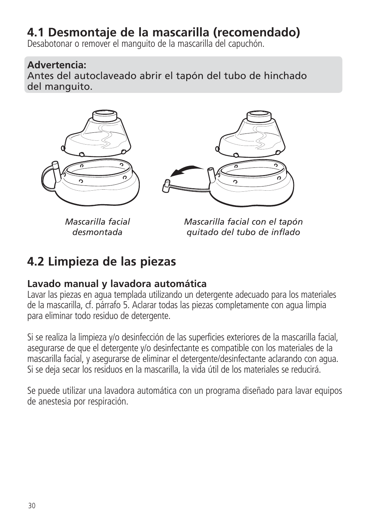## **4.1 Desmontaje de la mascarilla (recomendado)**

Desabotonar o remover el manguito de la mascarilla del capuchón.

#### **Advertencia:**

Antes del autoclaveado abrir el tapón del tubo de hinchado del manguito.



*Mascarilla facial desmontada*

*Mascarilla facial con el tapón quitado del tubo de inflado*

## **4.2 Limpieza de las piezas**

#### **Lavado manual y lavadora automática**

Lavar las piezas en agua templada utilizando un detergente adecuado para los materiales de la mascarilla, cf. párrafo 5. Aclarar todas las piezas completamente con agua limpia para eliminar todo residuo de detergente.

Si se realiza la limpieza y/o desinfección de las superficies exteriores de la mascarilla facial, asegurarse de que el detergente y/o desinfectante es compatible con los materiales de la mascarilla facial, y asegurarse de eliminar el detergente/desinfectante aclarando con agua. Si se deja secar los residuos en la mascarilla, la vida útil de los materiales se reducirá.

Se puede utilizar una lavadora automática con un programa diseñado para lavar equipos de anestesia por respiración.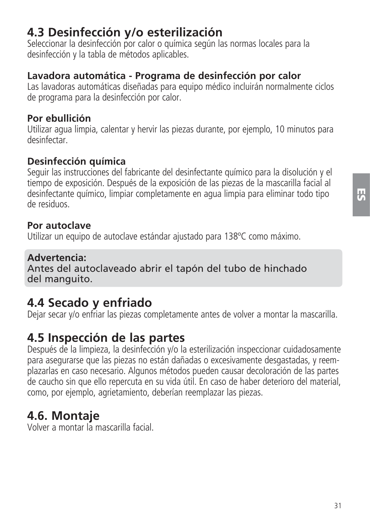**ES**

## **4.3 Desinfección y/o esterilización**

Seleccionar la desinfección por calor o química según las normas locales para la desinfección y la tabla de métodos aplicables.

### **Lavadora automática - Programa de desinfección por calor**

Las lavadoras automáticas diseñadas para equipo médico incluirán normalmente ciclos de programa para la desinfección por calor.

#### **Por ebullición**

Utilizar agua limpia, calentar y hervir las piezas durante, por ejemplo, 10 minutos para desinfectar.

### **Desinfección química**

Seguir las instrucciones del fabricante del desinfectante químico para la disolución y el tiempo de exposición. Después de la exposición de las piezas de la mascarilla facial al desinfectante químico, limpiar completamente en agua limpia para eliminar todo tipo de residuos.

### **Por autoclave**

Utilizar un equipo de autoclave estándar ajustado para 138ºC como máximo.

### **Advertencia:**

Antes del autoclaveado abrir el tapón del tubo de hinchado del manguito.

## **4.4 Secado y enfriado**

Dejar secar y/o enfriar las piezas completamente antes de volver a montar la mascarilla.

## **4.5 Inspección de las partes**

Después de la limpieza, la desinfección y/o la esterilización inspeccionar cuidadosamente para asegurarse que las piezas no están dañadas o excesivamente desgastadas, y reemplazarlas en caso necesario. Algunos métodos pueden causar decoloración de las partes de caucho sin que ello repercuta en su vida útil. En caso de haber deterioro del material, como, por ejemplo, agrietamiento, deberían reemplazar las piezas.

## **4.6. Montaje**

Volver a montar la mascarilla facial.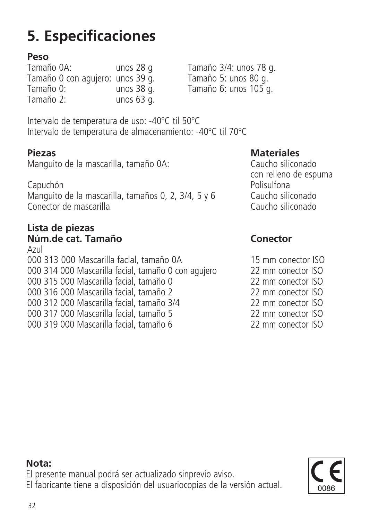# **5. Especificaciones**

**Peso** Tamaño 0 con agujero: unos 39 g.<br>Tamaño 0: unos 38 g. Tamaño 0: unos 38 g. Tamaño 6: unos 105 g. unos 63  $\alpha$ .

Tamaño 0A: unos 28 g Tamaño 3/4: unos 78 g.

Intervalo de temperatura de uso: -40ºC til 50ºC Intervalo de temperatura de almacenamiento: -40ºC til 70ºC

**Piezas Materiales**<br>Manguito de la mascarilla, tamaño 0A: Caucho siliconado Manguito de la mascarilla, tamaño 0A:

Capuchón Polisulfona Manguito de la mascarilla, tamaños 0, 2, 3/4, 5 y 6 Caucho siliconado Conector de mascarilla Caucho siliconado

#### **Lista de piezas Núm.de cat. Tamaño Conector**

Azul 000 313 000 Mascarilla facial, tamaño 0A 15 mm conector ISO<br>000 314 000 Mascarilla facial tamaño 0 con aquiero 22 mm conector ISO 000 314 000 Mascarilla facial, tamaño 0 con agujero 22 mm conector ISO<br>000 315 000 Mascarilla facial tamaño 0 22 mm conector ISO 000 315 000 Mascarilla facial, tamaño 0  $\sim$  22 mm conector ISO<br>000 316 000 Mascarilla facial tamaño 2  $\sim$  22 mm conector ISO 000 316 000 Mascarilla facial, tamaño 2 22 mm conector ISO<br>000 312 000 Mascarilla facial tamaño 3/4 222 mm conector ISO 000 312 000 Mascarilla facial, tamaño 3/4 22 mm conector ISO 000 317 000 Mascarilla facial, tamaño 5 22 mm conector ISO 000 319 000 Mascarilla facial, tamaño 6

con relleno de espuma<br>Capuchón de espuma de espuma de espuma de espuma de espuma de espuma de espuma de espuma de espuma de espuma d

**Nota:**

El presente manual podrá ser actualizado sinprevio aviso.

El fabricante tiene a disposición del usuariocopias de la versión actual.

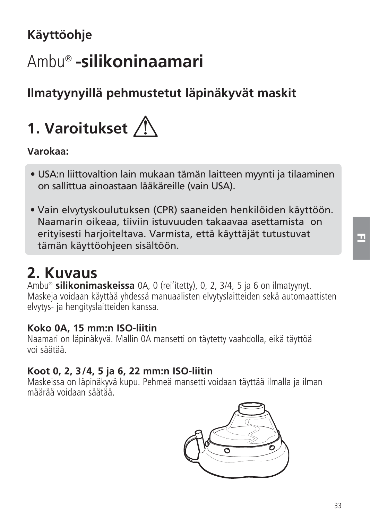# **Käyttöohje**

# Ambu® **-silikoninaamari**

# **Ilmatyynyillä pehmustetut läpinäkyvät maskit**

# **1. Varoitukset**

#### **Varokaa:**

- USA:n liittovaltion lain mukaan tämän laitteen myynti ja tilaaminen on sallittua ainoastaan lääkäreille (vain USA).
- Vain elvytyskoulutuksen (CPR) saaneiden henkilöiden käyttöön. Naamarin oikeaa, tiiviin istuvuuden takaavaa asettamista on erityisesti harjoiteltava. Varmista, että käyttäjät tutustuvat tämän käyttöohjeen sisältöön.

# **2. Kuvaus**

Ambu® **silikonimaskeissa** 0A, 0 (rei'itetty), 0, 2, 3/4, 5 ja 6 on ilmatyynyt. Maskeja voidaan käyttää yhdessä manuaalisten elvytyslait teiden sekä automaattisten elvytys- ja hengityslaitteiden kanssa.

#### **Koko 0A, 15 mm:n ISO-liitin**

Naamari on läpinäkyvä. Mallin 0A mansetti on täytetty vaahdolla, eikä täyttöä voi säätää.

#### **Koot 0, 2, 3/4, 5 ja 6, 22 mm:n ISO-liitin**

Maskeissa on läpinäkyvä kupu. Pehmeä mansetti voidaan täyttää ilmalla ja ilman määrää voidaan säätää.

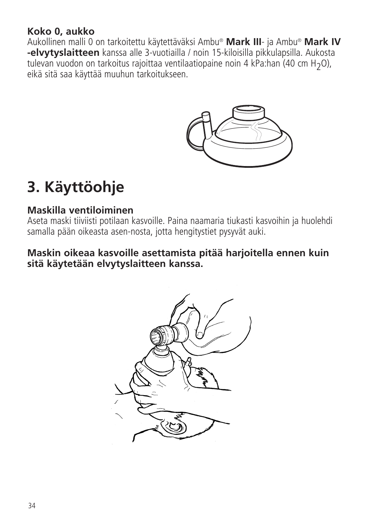#### **Koko 0, aukko**

Aukollinen malli 0 on tarkoitettu käytettäväksi Ambu® **Mark III**- ja Ambu® **Mark IV -elvytyslaitteen** kanssa alle 3-vuotiailla / noin 15-kiloisilla pikkulapsilla. Aukosta tulevan vuodon on tarkoitus rajoittaa ventilaatiopaine noin 4 kPa:han (40 cm H2O), eikä sitä saa käyttää muuhun tarkoitukseen.



# **3. Käyttöohje**

#### **Maskilla ventiloiminen**

Aseta maski tiiviisti potilaan kasvoille. Paina naamaria tiukasti kasvoihin ja huolehdi samalla pään oikeasta asen-nosta, jotta hengitystiet pysyvät auki.

#### **Maskin oikeaa kasvoille asettamista pitää harjoitella ennen kuin sitä käytetään elvytyslaitteen kanssa.**

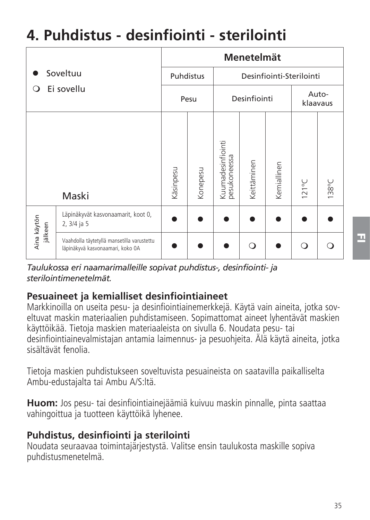# **4. Puhdistus - desinfiointi - sterilointi**

| Soveltuu<br>Ei sovellu<br>∩ |                                                                                | Menetelmät |          |                                   |             |                   |                 |       |  |
|-----------------------------|--------------------------------------------------------------------------------|------------|----------|-----------------------------------|-------------|-------------------|-----------------|-------|--|
|                             |                                                                                | Puhdistus  |          | Desinfiointi-Sterilointi          |             |                   |                 |       |  |
|                             |                                                                                | Pesu       |          | Desinfiointi                      |             | Auto-<br>klaavaus |                 |       |  |
|                             | Maski                                                                          | Käsinpesu  | Konepesu | Kuumadesinfiointi<br>pesukoneessa | Keittäminen | Kemiallinen       | $121^{\circ}$ C | 138°C |  |
| Aina kāytön<br>jälkeen      | Läpinäkyvät kasvonaamarit, koot 0,<br>2, 3/4 ja 5                              |            |          |                                   |             |                   |                 |       |  |
|                             | Vaahdolla täytetyllä mansetilla varustettu<br>läpinäkyvä kasvonaamari, koko 0A |            |          |                                   | ∩           |                   | $\circ$         |       |  |

*Taulukossa eri naamarimalleille sopivat puhdistus-, desinfiointi- ja sterilointi menetelmät.*

#### **Pesuaineet ja kemialliset desinfiointiaineet**

Markkinoilla on useita pesu- ja desinfiointiainemerkkejä. Käytä vain aineita, jotka soveltuvat maskin materiaalien puhdistamiseen. Sopimattomat aineet lyhentävät maskien käyttöikää. Tietoja maskien materiaaleista on sivulla 6. Noudata pesu- tai desinfiointiainevalmistaian antamia laimennus- ja pesuohieita. Älä käytä aineita, jotka sisältävät fenolia

Tietoja maskien puhdistukseen soveltuvista pesuaineista on saatavilla paikalliselta Ambu-edustajalta tai Ambu A/S:ltä.

**Huom:** Jos pesu- tai desinfiointiainejäämiä kuivuu maskin pinnalle, pinta saattaa vahingoittua ja tuotteen käyttöikä lyhenee.

#### **Puhdistus, desinfiointi ja sterilointi**

Noudata seuraavaa toimintajärjestystä. Valitse ensin taulukosta maskille sopiva puhdistusmenetelmä.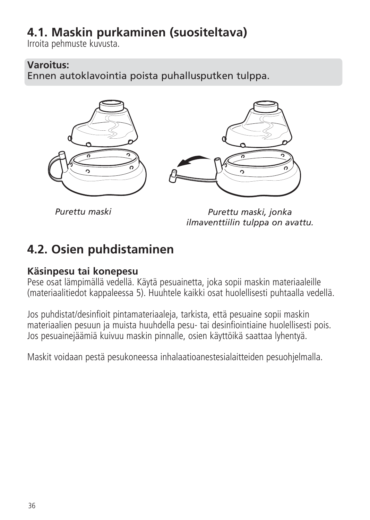## **4.1. Maskin purkaminen (suositeltava)**

Irroita pehmuste kuvusta.

#### **Varoitus:**

Ennen autoklavointia poista puhallusputken tulppa.



*Purettu maski*

*Purettu maski, jonka ilmaventtiilin tulppa on avattu.*

## **4.2. Osien puhdistaminen**

#### **Käsinpesu tai konepesu**

Pese osat lämpimällä vedellä. Käytä pesuainetta, joka sopii maskin materiaaleille (materiaalitiedot kappaleessa 5). Huuhtele kaikki osat huolellisesti puhtaalla vedellä.

Jos puhdistat/desinfioit pintamateriaaleja, tarkista, että pesuaine sopii maskin materiaalien pesuun ja muista huuhdella pesu- tai desinfiointiaine huolellisesti pois. Jos pesuainejäämiä kuivuu maskin pinnalle, osien käyttöikä saattaa lyhentyä.

Maskit voidaan pestä pesukoneessa inhalaatioanestesialaitteiden pesuohjelmalla.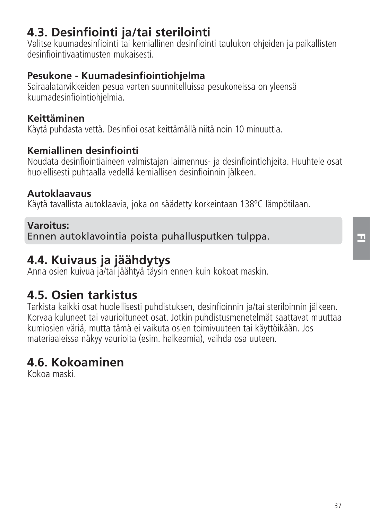# **4.3. Desinfiointi ja/tai sterilointi**

Valitse kuumadesinfiointi tai kemiallinen desinfiointi taulukon ohjeiden ja paikallisten desinfiointivaatimusten mukaisesti.

## **Pesukone - Kuumadesinfiointiohjelma**

Sairaalatarvikkeiden pesua varten suunnitelluissa pesukoneissa on yleensä kuumadesinfiointiohjelmia.

## **Keittäminen**

Käytä puhdasta vettä. Desinfioi osat keittämällä niitä noin 10 minuuttia.

## **Kemiallinen desinfiointi**

Noudata desinfiointiaineen valmistajan laimennus- ja desinfiointiohjeita. Huuhtele osat huolellisesti puhtaalla vedellä kemiallisen desinfioinnin jälkeen.

## **Autoklaavaus**

Käytä tavallista autoklaavia, joka on säädetty korkeintaan 138ºC lämpötilaan.

## **Varoitus:**

Ennen autoklavointia poista puhallusputken tulppa.

# **4.4. Kuivaus ja jäähdytys**

Anna osien kuivua ja/tai jäähtyä täysin ennen kuin kokoat maskin.

# **4.5. Osien tarkistus**

Tarkista kaikki osat huolellisesti puhdistuksen, desinfioinnin ja/tai ste riloinnin jälkeen. Korvaa kuluneet tai vaurioituneet osat. Jotkin puhdistusmenetelmät saattavat muuttaa kumiosien väriä, mutta tämä ei vaikuta osien toimivuuteen tai käyttöikään. Jos materiaaleissa näkyy vaurioita (esim. halkeamia), vaihda osa uuteen.

# **4.6. Kokoaminen**

Kokoa maski.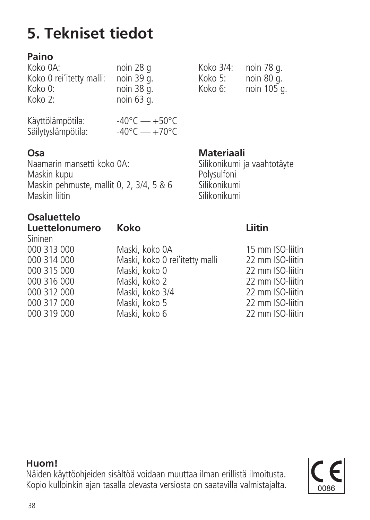Näiden käyttöohjeiden sisältöä voidaan muuttaa ilman erillistä ilmoitusta. Kopio kulloinkin ajan tasalla olevasta versiosta on saatavilla valmistajalta.

# **5. Tekniset tiedot**

# **Paino**

| noin 28 g  |
|------------|
| noin 39 q. |
| noin 38 q. |
| noin 63 g. |
|            |

| Käyttölämpötila:   | $-40^{\circ}$ C — $+50^{\circ}$ C |  |
|--------------------|-----------------------------------|--|
| Säilytyslämpötila: | $-40^{\circ}$ C — $+70^{\circ}$ C |  |

**Osa Materiaali**<br>Naamarin mansetti koko 0A: Silikonikumi ia Naamarin mansetti koko 0A: Silikonikumi ja vaahtotäyte<br>Maskin kupu Maskin kupu Polysulfoni Maskin pehmuste, mallit 0, 2, 3/4, 5 & 6 Silikonikumi Maskin liitin Silikonikumi

# **Osaluettelo**

| Koko                           | Liitin           |
|--------------------------------|------------------|
|                                |                  |
| Maski, koko 0A                 | 15 mm ISO-liitin |
| Maski, koko 0 rei'itetty malli | 22 mm ISO-liitin |
| Maski, koko 0                  | 22 mm ISO-liitin |
| Maski, koko 2                  | 22 mm ISO-liitin |
| Maski, koko 3/4                | 22 mm ISO-liitin |
| Maski, koko 5                  | 22 mm ISO-liitin |
| Maski, koko 6                  | 22 mm ISO-liitin |
|                                |                  |

Koko 3/4: noin 78 g.<br>Koko 5: noin 80 g.  $K$ oko 5: noin 80 g.<br>Koko 6: noin 105 g. noin 105 g.

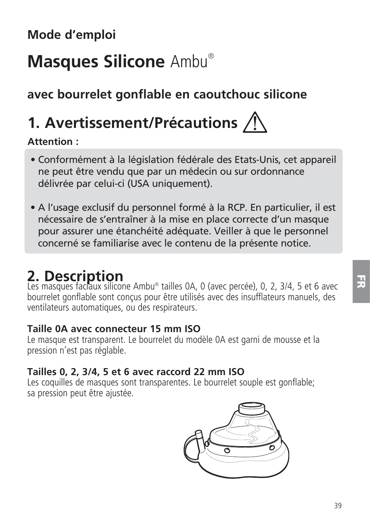# **Masques Silicone** Ambu®

# **avec bourrelet gonflable en caoutchouc silicone**

# **1. Avertissement/Précautions**

### **Attention :**

- Conformément à la législation fédérale des Etats-Unis, cet appareil ne peut être vendu que par un médecin ou sur ordonnance délivrée par celui-ci (USA uniquement).
- A l'usage exclusif du personnel formé à la RCP. En particulier, il est nécessaire de s'entraîner à la mise en place correcte d'un masque pour assurer une étanchéité adéquate. Veiller à que le personnel concerné se familiarise avec le contenu de la présente notice.

**2. Description** Les masques faciaux silicone Ambu® tailles 0A, 0 (avec percée), 0, 2, 3/4, 5 et 6 avec bourrelet gonflable sont conçus pour être utilisés avec des insufflateurs manuels, des ventilateurs automatiques, ou des respirateurs.

#### **Taille 0A avec connecteur 15 mm ISO**

Le masque est transparent. Le bourrelet du modèle 0A est garni de mousse et la pression n'est pas réglable.

### **Tailles 0, 2, 3/4, 5 et 6 avec raccord 22 mm ISO**

Les coquilles de masques sont transparentes. Le bourrelet souple est gonflable; sa pression peut être ajustée.

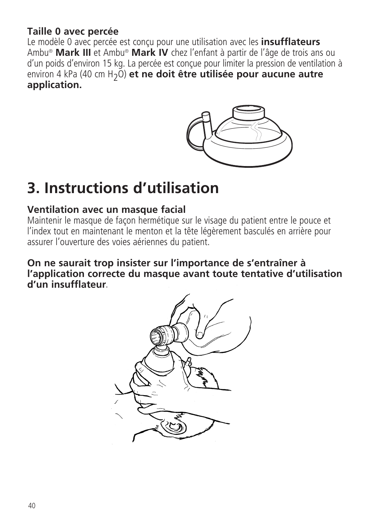## **Taille 0 avec percée**

Le modèle 0 avec percée est conçu pour une utilisation avec les **insufflateurs** Ambu® **Mark III** et Ambu® **Mark IV** chez l'enfant à partir de l'âge de trois ans ou d'un poids d'environ 15 kg. La percée est conçue pour limiter la pression de ventilation à environ 4 kPa (40 cm H<sub>2</sub>O) et ne doit être utilisée pour aucune autre **application.**



# **3. Instructions d'utilisation**

#### **Ventilation avec un masque facial**

Maintenir le masque de façon hermétique sur le visage du patient entre le pouce et l'index tout en maintenant le menton et la tête légèrement basculés en arrière pour assurer l'ouverture des voies aériennes du patient.

**On ne saurait trop insister sur l'importance de s'entraîner à l'application correcte du masque avant toute tentative d'utilisation d'un insufflateur.**

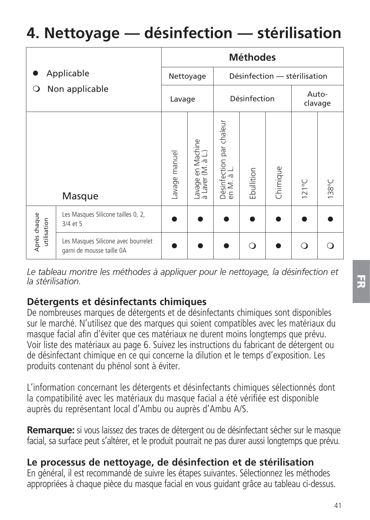# **4. Nettoyage — désinfection — stérilisation**

|                                   |                                                                  |               |                                        |                                        | <b>Méthodes</b> |                              |                 |                  |
|-----------------------------------|------------------------------------------------------------------|---------------|----------------------------------------|----------------------------------------|-----------------|------------------------------|-----------------|------------------|
| Applicable<br>Non applicable<br>O |                                                                  |               | Nettoyage                              |                                        |                 | Désinfection - stérilisation |                 |                  |
|                                   |                                                                  | Lavage        |                                        |                                        | Désinfection    |                              |                 | Auto-<br>clavage |
|                                   | Masque                                                           | Lavage manuel | Lavage en Machine<br>à Laver (M. à L.) | Désinfection par chaleur<br>en M. à L. | Ebullition      | Chimique                     | $121^{\circ}$ C | 138°C            |
| Après chaque<br>utilisation       | Les Masques Silicone tailles 0, 2,<br>3/4 et 5                   |               |                                        |                                        |                 |                              |                 |                  |
|                                   | Les Masques Silicone avec bourrelet<br>garni de mousse taille 0A |               |                                        |                                        | ∩               |                              | ∩               |                  |

Le tableau montre les méthodes à appliquer pour le nettoyage, la désinfection et *la stérilisation.*

### **Détergents et désinfectants chimiques**

De nombreuses marques de détergents et de désinfectants chimiques sont disponibles sur le marché. N'utilisez que des marques qui soient compatibles avec les matériaux du masque facial afin d'éviter que ces matériaux ne durent moins longtemps que prévu. Voir liste des matériaux au page 6. Suivez les instructions du fabricant de détergent ou de désinfectant chimique en ce qui concerne la dilution et le temps d'exposition. Les produits contenant du phénol sont à éviter.

L'information concernant les détergents et désinfectants chimiques sélectionnés dont la compatibilité avec les matériaux du masque facial a été vérifiée est disponible auprès du représentant local d'Ambu ou auprès d'Ambu A/S.

**Remarque:** si vous laissez des traces de détergent ou de désinfectant sécher sur le masque facial, sa surface peut s'altérer, et le produit pourrait ne pas durer aussi longtemps que prévu.

### **Le processus de nettoyage, de désinfection et de stérilisation**

En général, il est recommandé de suivre les étapes suivantes. Sélectionnez les méthodes appropriées à chaque pièce du masque facial en vous guidant grâce au tableau ci-dessus.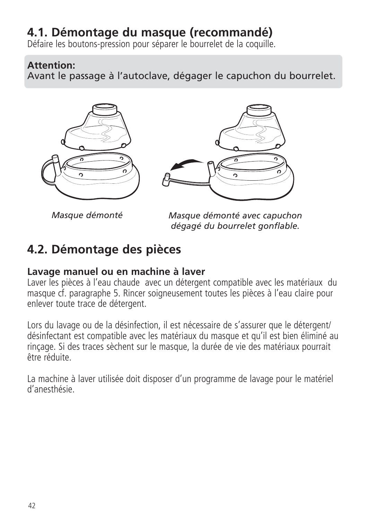# **4.1. Démontage du masque (recommandé)**

Défaire les boutons-pression pour séparer le bourrelet de la coquille.

#### **Attention:**

Avant le passage à l'autoclave, dégager le capuchon du bourrelet.





*Masque démonté*

*Masque démonté avec capuchon dégagé du bourrelet gonflable.*

# **4.2. Démontage des pièces**

#### **Lavage manuel ou en machine à laver**

Laver les pièces à l'eau chaude avec un détergent compatible avec les matériaux du masque cf. paragraphe 5. Rincer soigneusement toutes les pièces à l'eau claire pour enlever toute trace de détergent.

Lors du lavage ou de la désinfection, il est nécessaire de s'assurer que le détergent/ désinfectant est compatible avec les matériaux du masque et qu'il est bien éliminé au rinçage. Si des traces sèchent sur le masque, la durée de vie des matériaux pourrait être réduite.

La machine à laver utilisée doit disposer d'un programme de lavage pour le matériel d'anesthésie.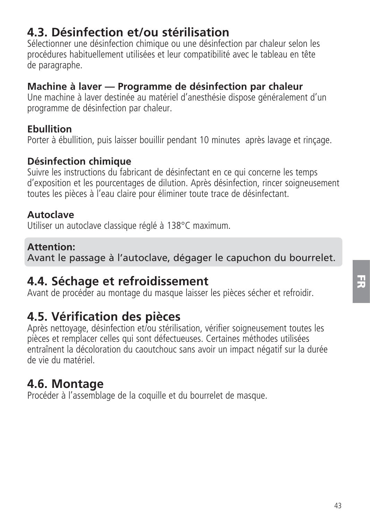# **4.3. Désinfection et/ou stérilisation**

Sélectionner une désinfection chimique ou une désinfection par chaleur selon les procédures habituellement utilisées et leur compatibilité avec le tableau en tête de paragraphe.

#### **Machine à laver — Programme de désinfection par chaleur**

Une machine à laver destinée au matériel d'anesthésie dispose généralement d'un programme de désinfection par chaleur.

#### **Ebullition**

Porter à ébullition, puis laisser bouillir pendant 10 minutes, après lavage et rinçage.

#### **Désinfection chimique**

Suivre les instructions du fabricant de désinfectant en ce qui concerne les temps d'exposition et les pourcentages de dilution. Après désinfection, rincer soigneusement toutes les pièces à l'eau claire pour éliminer toute trace de désinfectant.

#### **Autoclave**

Utiliser un autoclave classique réglé à 138°C maximum.

#### **Attention:**

Avant le passage à l'autoclave, dégager le capuchon du bourrelet.

# **4.4. Séchage et refroidissement**

Avant de procéder au montage du masque laisser les pièces sécher et refroidir.

# **4.5. Vérification des pièces**

Après nettoyage, désinfection et/ou stérilisation, vérifier soigneusement toutes les pièces et remplacer celles qui sont défectueuses. Certaines méthodes utilisées entraînent la décoloration du caoutchouc sans avoir un impact négatif sur la durée de vie du matériel.

# **4.6. Montage**

Procéder à l'assemblage de la coquille et du bourrelet de masque.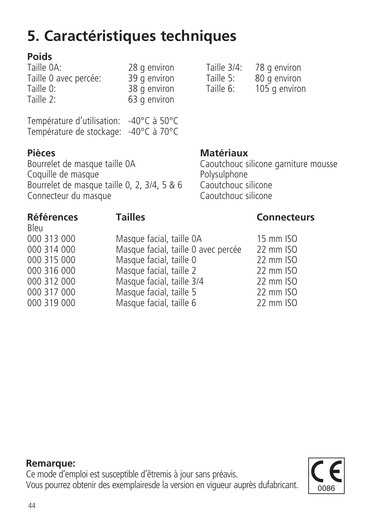# **5. Caractéristiques techniques**

**Poids** Taille 0 avec percée: 39 g environ Taille 5:<br>Taille 0: 88 g environ Taille 6: Taille 0: 38 g environ Taille 6: 105 g environ 63 g environ

Température d'utilisation: -40°C à 50°C Température de stockage: -40°C à 70°C

**Pièces Matériaux**<br>**Bourrelet de masque taille 0A Caoutchouc** si Coquille de masque Polysulphone Bourrelet de masque taille 0, 2, 3/4, 5 & 6 Caoutchouc silicone Connecteur du masque

28 g environ Taille 3/4: 78 g environ<br>39 g environ Taille 5: 80 g environ

Caoutchouc silicone garniture mousse<br>Polysulphone

Bleu<br>000 313 000 000 313 000 Masque facial, taille 0A 15 mm ISO<br>000 314 000 Masque facial, taille 0 avec percée 22 mm ISO 000 314 000 Masque facial, taille 0 avec percée 22 mm ISO 000 315 000 Masque facial, taille 0 22 mm ISO 000 316 000 Masque facial, taille 2 22 mm ISO<br>000 312 000 Masque facial taille 3/4 22 mm ISO 000 312 000 Masque facial, taille 3/4 22 mm ISO 000 317 000 Masque facial, taille 5 22 mm ISO Masque facial, taille 6

### **Références Tailles Connecteurs**

**Remarque:** Ce mode d'emploi est susceptible d'êtremis à jour sans préavis. Vous pourrez obtenir des exemplairesde la version en vigueur auprès dufabricant

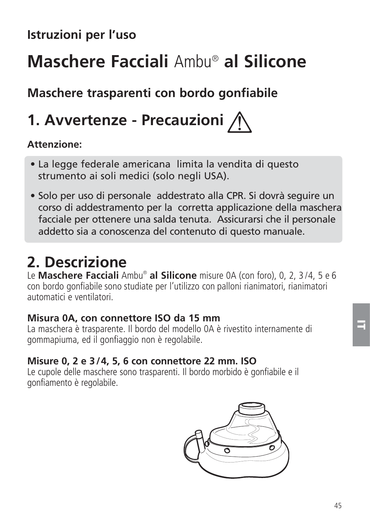# **Istruzioni per l'uso**

# **Maschere Facciali** Ambu® **al Silicone**

# **Maschere trasparenti con bordo gonfiabile**

# **1. Avvertenze - Precauzioni**

### **Attenzione:**

- La legge federale americana limita la vendita di questo strumento ai soli medici (solo negli USA).
- Solo per uso di personale addestrato alla CPR. Si dovrà seguire un corso di addestramento per la corretta applicazione della maschera facciale per ottenere una salda tenuta. Assicurarsi che il personale addetto sia a conoscenza del contenuto di questo manuale.

# **2. Descrizione**

Le **Maschere Facciali** Ambu® **al Silicone** misure 0A (con foro), 0, 2, 3 /4, 5 e 6 con bordo gonfiabile sono studiate per l'utilizzo con palloni rianimatori, rianimatori, automatici e ventilatori.

#### **Misura 0A, con connettore ISO da 15 mm**

La maschera è trasparente. Il bordo del modello 0A è rivestito internamente di gommapiuma, ed il gonfiaggio non è regolabile.

### **Misure 0, 2 e 3 /4, 5, 6 con connettore 22 mm. ISO**

Le cupole delle maschere sono trasparenti. Il bordo morbido è gonfiabile e il gonfiamento è regolabile.

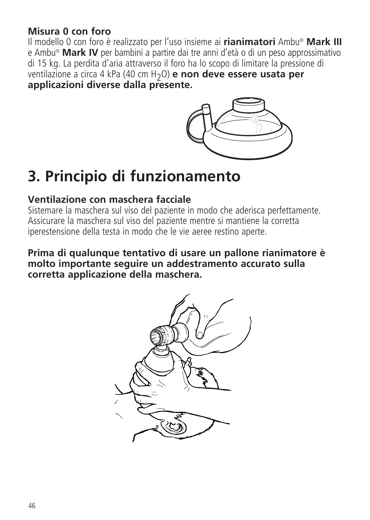## **Misura 0 con foro**

Il modello 0 con foro è realizzato per l'uso insieme ai **rianimatori** Ambu® **Mark III** e Ambu® **Mark IV** per bambini a partire dai tre anni d'età o di un peso approssimativo di 15 kg. La perdita d'aria attraverso il foro ha lo scopo di limitare la pressione di ventilazione a circa 4 kPa (40 cm H2O) **e non deve essere usata per applicazioni diverse dalla presente.**



# **3. Principio di funzionamento**

## **Ventilazione con maschera facciale**

Sistemare la maschera sul viso del paziente in modo che aderisca perfettamente. Assicurare la maschera sul viso del paziente mentre si mantiene la corretta iperestensione della testa in modo che le vie aeree restino aperte.

**Prima di qualunque tentativo di usare un pallone rianimatore è molto importante seguire un addestramento accurato sulla corretta applicazione della maschera.**

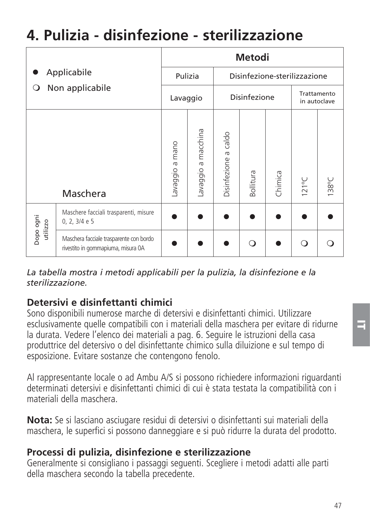# **4. Pulizia - disinfezione - sterilizzazione**

|                       |                                                                               | Metodi         |                                         |                      |                             |         |                 |       |
|-----------------------|-------------------------------------------------------------------------------|----------------|-----------------------------------------|----------------------|-----------------------------|---------|-----------------|-------|
| Applicabile           |                                                                               |                | Pulizia<br>Disinfezione-sterilizzazione |                      |                             |         |                 |       |
| О                     | Non applicabile                                                               |                | Disinfezione<br>Lavaggio                |                      | Trattamento<br>in autoclave |         |                 |       |
|                       | Maschera                                                                      | avaggio a mano | macchina<br>avaggio a                   | Disinfezione a caldo | <b>Bollitura</b>            | Chimica | $121^{\circ}$ C | 138°C |
| Dopo ogni<br>utilizzo | Maschere facciali trasparenti, misure<br>0, 2, 3/4 e 5                        |                |                                         |                      |                             |         |                 |       |
|                       | Maschera facciale trasparente con bordo<br>rivestito in gommapiuma, misura 0A |                |                                         |                      | ∩                           |         | O               |       |

*La tabella mostra i metodi applicabili per la pulizia, la disinfezione e la sterilizzazione.*

# **Detersivi e disinfettanti chimici**

Sono disponibili numerose marche di detersivi e disinfettanti chimici. Utilizzare esclusivamente quelle compatibili con i materiali della maschera per evitare di ridurne la durata. Vedere l'elenco dei materiali a pag. 6. Seguire le istruzioni della casa produttrice del detersivo o del disinfettante chimico sulla diluizione e sul tempo di esposizione. Evitare sostanze che contengono fenolo.

Al rappresentante locale o ad Ambu A/S si possono richiedere informazioni riguardanti determinati detersivi e disinfettanti chimici di cui è stata testata la compatibilità con i materiali della maschera.

**Nota:** Se si lasciano asciugare residui di detersivi o disinfettanti sui materiali della maschera, le superfici si possono danneggiare e si può ridurre la durata del prodotto.

## **Processi di pulizia, disinfezione e sterilizzazione**

Generalmente si consigliano i passaggi seguenti. Scegliere i metodi adatti alle parti della maschera secondo la tabella precedente.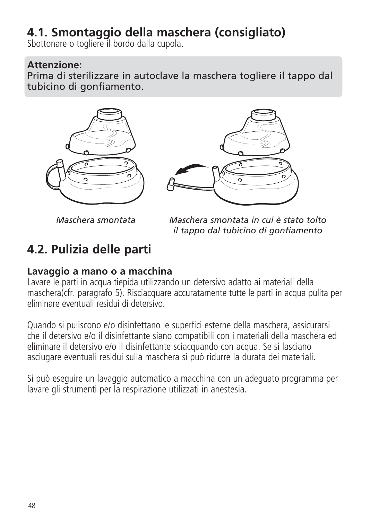# **4.1. Smontaggio della maschera (consigliato)**

Sbottonare o togliere il bordo dalla cupola.

#### **Attenzione:**

Prima di sterilizzare in autoclave la maschera togliere il tappo dal tubicino di gonfiamento.





*Maschera smontata*

*Maschera smontata in cui è stato tolto il tappo dal tubicino di gonfiamento*

# **4.2. Pulizia delle parti**

### **Lavaggio a mano o a macchina**

Lavare le parti in acqua tiepida utilizzando un detersivo adatto ai materiali della maschera(cfr. paragrafo 5). Risciacquare accuratamente tutte le parti in acqua pulita per eliminare eventuali residui di detersivo.

Quando si puliscono e/o disinfettano le superfici esterne della maschera, assicurarsi che il detersivo e/o il disinfettante siano compatibili con i materiali della maschera ed eliminare il detersivo e/o il disinfettante sciacquando con acqua. Se si lasciano asciugare eventuali residui sulla maschera si può ridurre la durata dei materiali.

Si può eseguire un lavaggio automatico a macchina con un adeguato programma per lavare gli strumenti per la respirazione utilizzati in anestesia.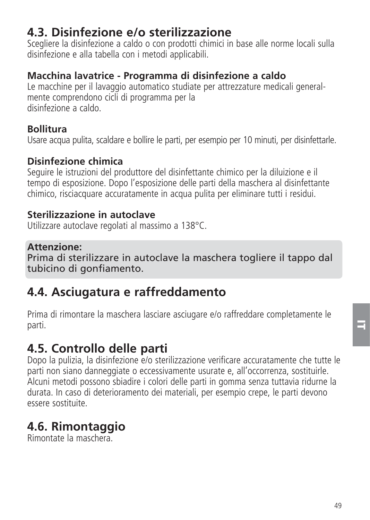# **4.3. Disinfezione e/o sterilizzazione**

Scegliere la disinfezione a caldo o con prodotti chimici in base alle norme locali sulla disinfezione e alla tabella con i metodi applicabili.

## **Macchina lavatrice - Programma di disinfezione a caldo**

Le macchine per il lavaggio automatico studiate per attrezzature medicali generalmente comprendono cicli di programma per la disinfezione a caldo.

### **Bollitura**

Usare acqua pulita, scaldare e bollire le parti, per esempio per 10 minuti, per disinfettarle.

### **Disinfezione chimica**

Seguire le istruzioni del produttore del disinfettante chimico per la diluizione e il tempo di esposizione. Dopo l'esposizione delle parti della maschera al disinfettante chimico, risciacquare accuratamente in acqua pulita per eliminare tutti i residui.

### **Sterilizzazione in autoclave**

Utilizzare autoclave regolati al massimo a 138°C.

#### **Attenzione:**

Prima di sterilizzare in autoclave la maschera togliere il tappo dal tubicino di gonfiamento.

# **4.4. Asciugatura e raffreddamento**

Prima di rimontare la maschera lasciare asciugare e/o raffreddare completamente le parti.

# **4.5. Controllo delle parti**

Dopo la pulizia, la disinfezione e/o sterilizzazione verificare accuratamente che tutte le parti non siano danneggiate o eccessivamente usurate e, all'occorrenza, sostituirle. Alcuni metodi possono sbiadire i colori delle parti in gomma senza tuttavia ridurne la durata. In caso di deterioramento dei materiali, per esempio crepe, le parti devono essere sostituite.

# **4.6. Rimontaggio**

Rimontate la maschera.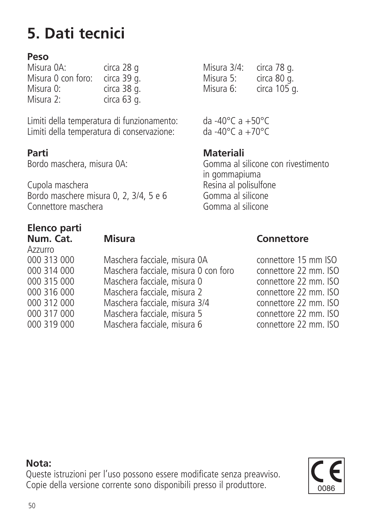# **5. Dati tecnici**

## **Peso**

| Misura 0A:         | circa 28 g  | Misura 3/4: | circa 78 g. |
|--------------------|-------------|-------------|-------------|
| Misura 0 con foro: | circa 39 g. | Misura 5:   | circa 80 g. |
| Misura 0:          | circa 38 g. | Misura 6:   | circa 105   |
| Misura 2:          | circa 63 g. |             |             |

Limiti della temperatura di funzionamento: da -40°C a +50°C Limiti della temperatura di conservazione:

**Parti Materiali**

 in gommapiuma Bordo maschere misura 0, 2, 3/4, 5 e 6 Gomma al silicone<br>Connettore maschera Connettore maschera

# **Elenco parti**

Azzurro

| 000 313 000 | Maschera facciale, misura 0A         |
|-------------|--------------------------------------|
| 000 314 000 | Maschera facciale, misura 0 con foro |
| 000 315 000 | Maschera facciale, misura 0          |
| 000 316 000 | Maschera facciale, misura 2          |
| 000 312 000 | Maschera facciale, misura 3/4        |
| 000 317 000 | Maschera facciale, misura 5          |
| 000 319 000 | Maschera facciale, misura 6          |
|             |                                      |

Misura 3/4: circa 78 g.<br>Misura 5: circa 80 g. Misura 6: circa 105 g.

Gomma al silicone con rivestimento Resina al polisulfone<br>Gomma al silicone

#### **Misura** Connettore

connettore 15 mm ISO  $constant$  32 mm. ISO connettore 22 mm. ISO connettore 22 mm. ISO connettore 22 mm. ISO connettore 22 mm. ISO connettore 22 mm. ISO

#### **Nota:**

Queste istruzioni per l'uso possono essere modificate senza preavviso. Copie della versione corrente sono disponibili presso il produttore.

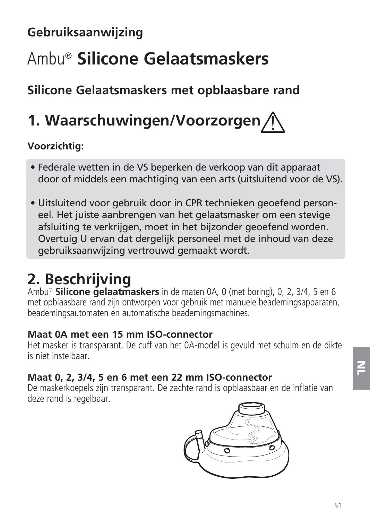# **Gebruiksaanwijzing**

# Ambu® **Silicone Gelaatsmaskers**

# **Silicone Gelaatsmaskers met opblaasbare rand**

# **1. Waarschuwingen/Voorzorgen**

# **Voorzichtig:**

- Federale wetten in de VS beperken de verkoop van dit apparaat door of middels een machtiging van een arts (uitsluitend voor de VS).
- Uitsluitend voor gebruik door in CPR technieken geoefend personeel. Het juiste aanbrengen van het gelaatsmasker om een stevige afsluiting te verkrijgen, moet in het bijzonder geoefend worden. Overtuig U ervan dat dergelijk personeel met de inhoud van deze gebruiksaanwijzing vertrouwd gemaakt wordt.

# **2. Beschrijving**

Ambu® **Silicone gelaatmaskers** in de maten 0A, 0 (met boring), 0, 2, 3/4, 5 en 6 met opblaasbare rand zijn ontworpen voor gebruik met manuele beademingsapparaten, beademingsautomaten en automatische beademingsmachines.

### **Maat 0A met een 15 mm ISO-connector**

Het masker is transparant. De cuff van het 0A-model is gevuld met schuim en de dikte is niet instelbaar.

# **Maat 0, 2, 3/4, 5 en 6 met een 22 mm ISO-connector**

De maskerkoepels zijn transparant. De zachte rand is opblaasbaar en de inflatie van deze rand is regelbaar.

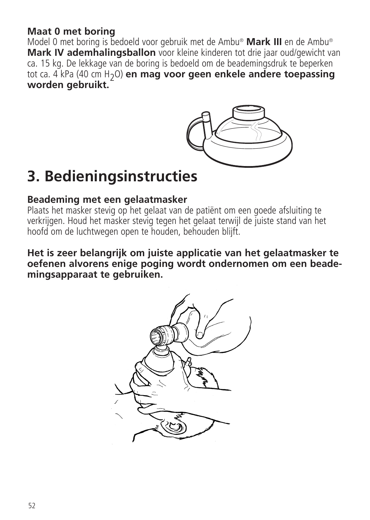### **Maat 0 met boring**

Model 0 met boring is bedoeld voor gebruik met de Ambu® **Mark III** en de Ambu® **Mark IV ademhalingsballon** voor kleine kinderen tot drie jaar oud/gewicht van ca. 15 kg. De lekkage van de boring is bedoeld om de beademingsdruk te beperken tot ca. 4 kPa (40 cm H2O) **en mag voor geen enkele andere toepassing worden gebruikt.**



# **3. Bedieningsinstructies**

#### **Beademing met een gelaatmasker**

Plaats het masker stevig op het gelaat van de patiënt om een goede afsluiting te verkrijgen. Houd het masker stevig tegen het gelaat ter wijl de juiste stand van het hoofd om de luchtwegen open te houden, behouden blijft.

**Het is zeer belangrijk om juiste applicatie van het gelaatmasker te oefenen alvorens enige poging wordt ondernomen om een beademingsapparaat te gebruiken.**

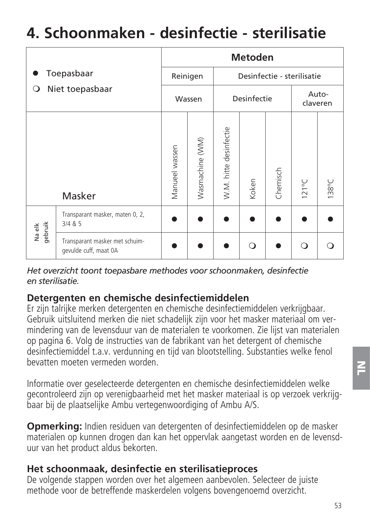# **4. Schoonmaken - desinfectie - sterilisatie**

|                   |                                                         | <b>Metoden</b> |                       |                        |                   |          |                            |       |
|-------------------|---------------------------------------------------------|----------------|-----------------------|------------------------|-------------------|----------|----------------------------|-------|
|                   | Toepasbaar                                              |                | Reinigen              |                        |                   |          | Desinfectie - sterilisatie |       |
| O                 | Niet toepasbaar                                         |                | Desinfectie<br>Wassen |                        | Auto-<br>claveren |          |                            |       |
|                   | Masker                                                  | Manueel wassen | Wasmachine (WM)       | W.M. hitte desinfectie | Koken             | Chemisch | $121^{\circ}$ C            | 138°C |
| Na elk<br>gebruik | Transparant masker, maten 0, 2,<br>3/4 & 85             |                |                       |                        |                   |          |                            |       |
|                   | Transparant masker met schuim-<br>gevulde cuff, maat 0A |                |                       |                        | ∩                 |          | ∩                          |       |

*Het overzicht toont toepasbare methodes voor schoonmaken, desinfectie en sterilisatie.*

### **Detergenten en chemische desinfectiemiddelen**

Er zijn talrijke merken detergenten en chemische desinfectiemiddelen verkrijgbaar. Gebruik uitsluitend merken die niet schadelijk zijn voor het masker materiaal om vermindering van de levensduur van de materialen te voorkomen. Zie lijst van materialen op pagina 6. Volg de instructies van de fabrikant van het detergent of chemische desin fectiemiddel t.a.v. verdunning en tijd van blootstelling. Substanties welke fenol bevatten moeten vermeden worden.

Informatie over geselecteerde detergenten en chemische desinfectie middelen welke gecontroleerd zijn op verenigbaarheid met het mas ker materiaal is op verzoek verkrijgbaar bij de plaatselijke Ambu ver tegenwoordiging of Ambu A/S.

**Opmerking:** Indien residuen van detergenten of desinfectiemiddelen op de masker materialen op kunnen drogen dan kan het oppervlak aangetast worden en de levensduur van het product aldus bekorten.

### **Het schoonmaak, desinfectie en sterilisatieproces**

De volgende stappen worden over het algemeen aanbevolen. Selecteer de juiste methode voor de betreffende maskerdelen volgens bovengenoemd overzicht.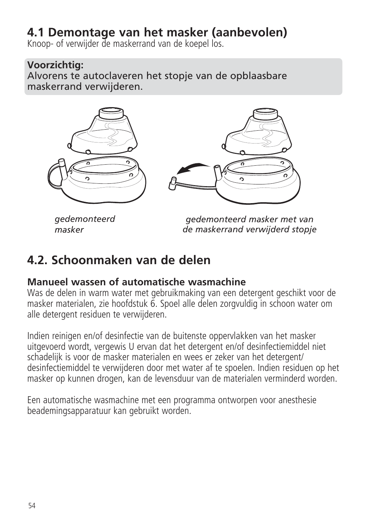# **4.1 Demontage van het masker (aanbevolen)**

Knoop- of verwijder de maskerrand van de koepel los.

# **Voorzichtig:**

Alvorens te autoclaveren het stopje van de opblaasbare maskerrand verwijderen.



*gedemonteerd masker*

*gedemonteerd masker met van de maskerrand verwijderd stopje*

# **4.2. Schoonmaken van de delen**

## **Manueel wassen of automatische wasmachine**

Was de delen in warm water met gebruikmaking van een detergent geschikt voor de masker materialen, zie hoofdstuk 6. Spoel alle delen zorgvuldig in schoon water om alle detergent residuen te verwijderen.

Indien reinigen en/of desinfectie van de buitenste oppervlakken van het masker uitgevoerd wordt, vergewis U ervan dat het detergent en/of desinfectiemiddel niet schadelijk is voor de masker materialen en wees er zeker van het detergent/ desinfectiemiddel te verwijderen door met water af te spoelen. Indien residuen op het masker op kunnen drogen, kan de levensduur van de materialen verminderd worden.

Een automatische wasmachine met een programma ontworpen voor anesthesie beademingsapparatuur kan gebruikt worden.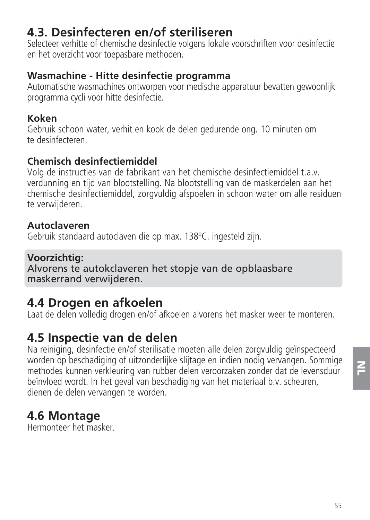# **4.3. Desinfecteren en/of steriliseren**

Selecteer verhitte of chemische desinfectie volgens lokale voorschrif ten voor desinfectie en het overzicht voor toepasbare methoden.

## **Wasmachine - Hitte desinfectie programma**

Automatische wasmachines ontworpen voor medische apparatuur bevatten gewoonlijk programma cycli voor hitte desinfectie.

# **Koken**

Gebruik schoon water, verhit en kook de delen gedurende ong. 10 minuten om te desinfecteren.

# **Chemisch desinfectiemiddel**

Volg de instructies van de fabrikant van het chemische desinfectiemid del t.a.v. verdunning en tijd van blootstelling. Na blootstelling van de maskerdelen aan het chemische desinfectiemiddel, zorgvuldig afspoelen in schoon water om alle residuen te verwijderen.

# **Autoclaveren**

Gebruik standaard autoclaven die op max. 138ºC. ingesteld zijn.

# **Voorzichtig:**

Alvorens te autokclaveren het stopje van de opblaasbare maskerrand verwijderen.

# **4.4 Drogen en afkoelen**

Laat de delen volledig drogen en/of afkoelen alvorens het masker weer te monteren.

# **4.5 Inspectie van de delen**

Na reiniging, desinfectie en/of sterilisatie moeten alle delen zorgvuldig geïnspecteerd worden op beschadiging of uitzonderlijke slijtage en indien nodig vervangen. Sommige methodes kunnen verkleuring van rubber delen veroorzaken zonder dat de levensduur beïnvloed wordt. In het geval van beschadiging van het materiaal b.v. scheuren, dienen de delen vervangen te worden.

# **4.6 Montage**

Hermonteer het masker.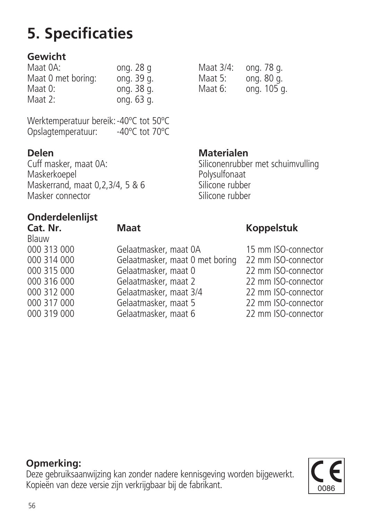## **Gewicht**

| Maat 0A:           | ong. $28q$ |
|--------------------|------------|
| Maat 0 met boring: | ong. 39 g. |
| Maat 0:            | ong. 38 g. |
| Maat 2:            | ong. 63 g. |

Werktemperatuur bereik: -40°C tot 50°C<br>Opslagtemperatuur: -40°C tot 70°C Opslagtemperatuur:

**Delen**<br>Cuff masker, maat 0A: **Materialen** Maskerkoepel<br>Maskerrand maat 0.2.3/4.5.8.6 Polysulfonaat Maskerrand, maat 0,2,3/4, 5 & 6 Silicone rubber<br>Masker connector Masker connector

# **Onderdelenlijst**

Blauw<br>000 313 000

000 313 000 Gelaatmasker, maat 0A 15 mm ISO-connector 000 314 000 Gelaatmasker, maat 0 met boring 22 mm ISO-connector 000 315 000 Gelaatmasker, maat 0 22 mm ISO-connector 000 316 000 Gelaatmasker, maat 2 22 mm ISO-connector 000 312 000 Gelaatmasker, maat 3/4 22 mm ISO-connector 000 317 000 Gelaatmasker, maat 5 22 mm ISO-connector Gelaatmasker, maat 6

Maat 3/4: ong. 78 g.<br>Maat 5: ong. 80 g. Maat 5: ong. 80 g.<br>Maat 6: ong. 105 g ong. 105 g.

Siliconenrubber met schuimvulling<br>Polysulfonaat

#### **Cat. Nr. Maat Koppelstuk**

## **Opmerking:**

Deze gebruiksaanwijzing kan zonder nadere kennisgeving worden bijgewerkt. Kopieën van deze versie zijn verkrijgbaar bij de fabrikant.

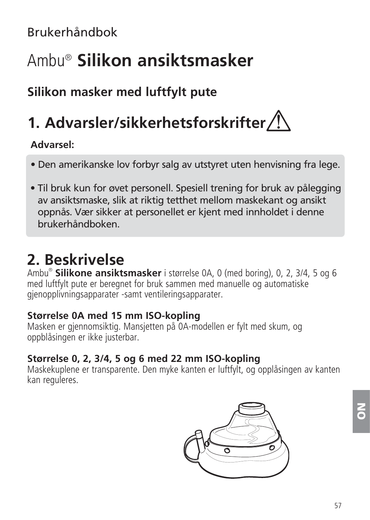Brukerhåndbok

# Ambu® **Silikon ansiktsmasker**

# **Silikon masker med luftfylt pute**

# **1. Advarsler/sikkerhetsforskrifter**

## **Advarsel:**

- Den amerikanske lov forbyr salg av utstyret uten henvisning fra lege.
- Til bruk kun for øvet personell. Spesiell trening for bruk av pålegging av ansiktsmaske, slik at riktig tetthet mellom maskekant og ansikt oppnås. Vær sikker at personellet er kjent med innholdet i denne brukerhåndboken.

# **2. Beskrivelse**

Ambu® **Silikone ansiktsmasker** i størrelse 0A, 0 (med boring), 0, 2, 3/4, 5 og 6 med luftfylt pute er beregnet for bruk sammen med manuelle og automatiske gjenopplivningsapparater -samt ventileringsapparater.

### **Størrelse 0A med 15 mm ISO-kopling**

Masken er gjennomsiktig. Mansjetten på 0A-modellen er fylt med skum, og oppblåsingen er ikke justerbar.

# **Størrelse 0, 2, 3/4, 5 og 6 med 22 mm ISO-kopling**

Maskekuplene er transparente. Den myke kanten er luftfylt, og opplåsingen av kanten kan reguleres.

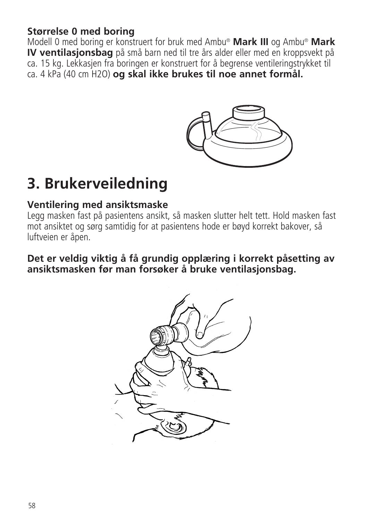## **Størrelse 0 med boring**

Modell 0 med boring er konstruert for bruk med Ambu® **Mark III** og Ambu® **Mark IV ventilasjonsbag** på små barn ned til tre års alder eller med en kroppsvekt på ca. 15 kg. Lekkasjen fra boringen er konstruert for å begrense ventileringstrykket til ca. 4 kPa (40 cm H2O) **og skal ikke brukes til noe annet formål.**



# **3. Brukerveiledning**

#### **Ventilering med ansiktsmaske**

Legg masken fast på pasientens ansikt, så masken slutter helt tett. Hold masken fast mot ansiktet og sørg samtidig for at pasientens hode er bøyd korrekt bakover, så luftveien er åpen.

**Det er veldig viktig å få grundig opplæring i korrekt påsetting av ansiktsmasken før man forsøker å bruke ventilasjonsbag.**

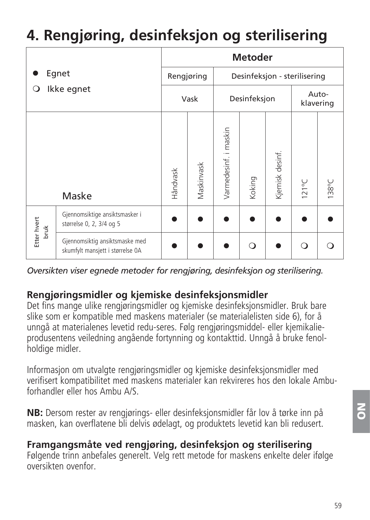# **4. Rengjøring, desinfeksjon og sterilisering**

|                          |                                                                    |          |             | <b>Metoder</b>        |        |                              |                 |       |
|--------------------------|--------------------------------------------------------------------|----------|-------------|-----------------------|--------|------------------------------|-----------------|-------|
| Egnet<br>Ikke egnet<br>О |                                                                    |          | Rengjøring  |                       |        | Desinfeksjon - sterilisering |                 |       |
|                          |                                                                    |          | Vask        | Desinfeksjon          |        | Auto-<br>klavering           |                 |       |
|                          | Maske                                                              | Håndvask | Vlaskinvask | Varmedesinf. i maskin | Koking | Kjemisk desinf               | $121^{\circ}$ C | 138°C |
| Etter hvert<br>bruk      | Gjennomsiktige ansiktsmasker i<br>størrelse 0, 2, 3/4 og 5         |          |             |                       |        |                              |                 |       |
|                          | Gjennomsiktig ansiktsmaske med<br>skumfylt mansjett i størrelse OA |          |             |                       | റ      |                              | O               |       |

*Oversikten viser egnede metoder for rengjøring, desinfeksjon og sterilisering.*

## **Rengjøringsmidler og kjemiske desinfeksjonsmidler**

Det fins mange ulike rengjøringsmidler og kjemiske desinfeksjonsmidler. Bruk bare slike som er kompatible med maskens materialer (se materialelisten side 6), for å unngå at materialenes levetid redu-seres. Følg rengjøringsmiddel- eller kjemikalieprodusentens veiledning angående fortynning og kontakttid. Unngå å bruke fenolholdige midler.

Informasjon om utvalgte rengjøringsmidler og kjemiske desinfek sjonsmidler med verifisert kompatibilitet med maskens materialer kan rekvireres hos den lokale Ambuforhandler eller hos Ambu A/S.

**NB:** Dersom rester av rengjørings- eller desinfeksjonsmidler får lov å tørke inn på masken, kan overflatene bli delvis ødelagt, og produktets levetid kan bli redusert.

# **Framgangsmåte ved rengjøring, desinfeksjon og sterilisering**

Følgende trinn anbefales generelt. Velg rett metode for maskens enkelte deler ifølge oversikten ovenfor.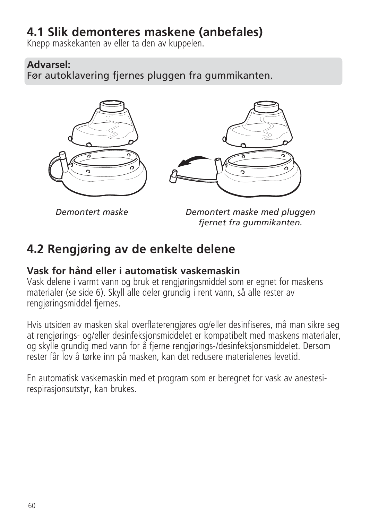# **4.1 Slik demonteres maskene (anbefales)**

Knepp maskekanten av eller ta den av kuppelen.

## **Advarsel:**

Før autoklavering fjernes pluggen fra gummikanten.



*Demontert maske*

*Demontert maske med pluggen fjernet fra gummikanten.*

# **4.2 Rengjøring av de enkelte delene**

## **Vask for hånd eller i automatisk vaskemaskin**

Vask delene i varmt vann og bruk et rengjøringsmiddel som er egnet for maskens materialer (se side 6). Skyll alle deler grundig i rent vann, så alle rester av rengjøringsmiddel fjernes.

Hvis utsiden av masken skal overflaterengjøres og/eller desinfiseres, må man sikre seg at rengjørings- og/eller desinfeksjonsmiddelet er kompatibelt med maskens materialer, og skylle grundig med vann for å fjerne rengjørings-/desinfeksjonsmiddelet. Dersom rester får lov å tørke inn på masken, kan det redusere materialenes levetid.

En automatisk vaskemaskin med et program som er beregnet for vask av anestesirespirasjonsutstyr, kan brukes.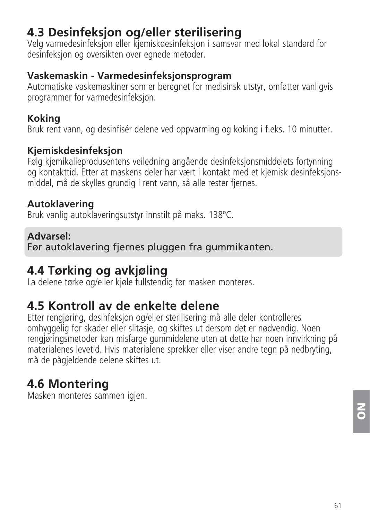# **4.3 Desinfeksjon og/eller sterilisering**

Velg varmedesinfeksjon eller kjemiskdesinfeksjon i samsvar med lokal standard for desinfeksjon og oversikten over egnede metoder.

## **Vaskemaskin - Varmedesinfeksjonsprogram**

Automatiske vaskemaskiner som er beregnet for medisinsk utstyr, omfatter vanligvis programmer for varmedesinfeksjon.

## **Koking**

Bruk rent vann, og desinfisér delene ved oppvarming og koking i f.eks. 10 minutter.

## **Kjemiskdesinfeksjon**

Følg kjemikalieprodusentens veiledning angående desinfeksjonsmiddelets fortynning og kontakttid. Etter at maskens deler har vært i kontakt med et kjemisk desinfeksjonsmiddel, må de skylles grundig i rent vann, så alle rester fjernes.

## **Autoklavering**

Bruk vanlig autoklaveringsutstyr innstilt på maks. 138ºC.

## **Advarsel:**

Før autoklavering fjernes pluggen fra gummikanten.

# **4.4 Tørking og avkjøling**

La delene tørke og/eller kjøle fullstendig før masken monteres.

# **4.5 Kontroll av de enkelte delene**

Etter rengjøring, desinfeksjon og/eller sterilisering må alle deler kontrolleres omhyggelig for skader eller slitasje, og skiftes ut dersom det er nødvendig. Noen rengjøringsmetoder kan misfarge gummidelene uten at dette har noen innvirkning på materialenes levetid. Hvis materialene sprekker eller viser andre tegn på nedbryting. må de pågjeldende delene skiftes ut.

# **4.6 Montering**

Masken monteres sammen igjen.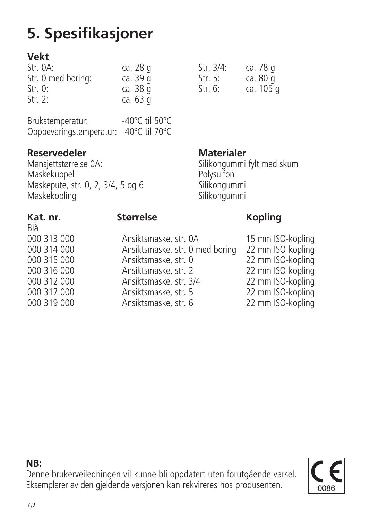# **5. Spesifikasjoner**

# **Vekt**

| Str. OA:           | ca. 28 g | Str. 3/4: | ca. 78 g  |
|--------------------|----------|-----------|-----------|
| Str. 0 med boring: | ca. 39 g | Str. 5:   | ca. 80 g  |
| Str. 0:            | ca. 38 g | Str. $6:$ | ca. 105 g |
| Str. $2:$          | ca. 63 g |           |           |

| Brukstemperatur:                       | -40°C til 50°C |  |
|----------------------------------------|----------------|--|
| Oppbevaringstemperatur: -40°C til 70°C |                |  |

**Reservedeler** Materialer **Materialer** Materialer Maskekuppel Polysulfon Maskepute, str. 0, 2, 3/4, 5 og 6 Silikongummi Maskekopling

| Str. 3/4: | ca. 78 g  |
|-----------|-----------|
| Str. 5:   | ca. 80 g  |
| Str. 6:   | ca. 105 c |

Silikongummi fylt med skum<br>Polysulfon

Blå<br>000 313 000

# Kat. nr. **Størrelse** Kopling

000 313 000 Ansiktsmaske, str. 0A 15 mm ISO-kopling 000 314 000 Ansiktsmaske, str. 0 med boring 22 mm ISO-kopling 000 315 000 Ansiktsmaske, str. 0 22 mm ISO-kopling 000 316 000 Ansiktsmaske, str. 2 22 mm ISO-kopling 000 312 000 Ansiktsmaske, str. 3/4 22 mm ISO-kopling 000 317 000 Ansiktsmaske, str. 5 22 mm ISO-kopling Ansiktsmaske, str. 6

**NB:**



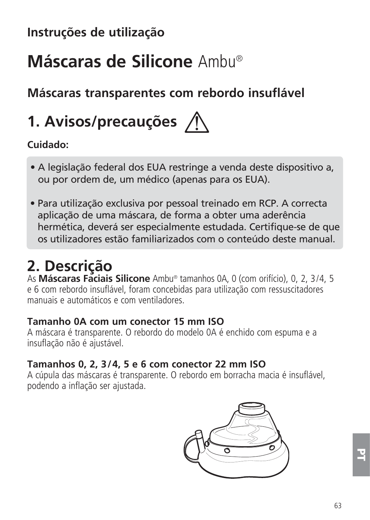# **Instruções de utilização**

# **Máscaras de Silicone** Ambu®

# **Máscaras transparentes com rebordo insuflável**

# **1. Avisos/precauções**

# **Cuidado:**

- A legislação federal dos EUA restringe a venda deste dispositivo a, ou por ordem de, um médico (apenas para os EUA).
- Para utilização exclusiva por pessoal treinado em RCP. A correcta aplicação de uma máscara, de forma a obter uma aderência hermética, deverá ser especialmente estudada. Certifique-se de que os utilizadores estão familiarizados com o conteúdo deste manual.

# **2. Descrição**

As **Máscaras Faciais Silicone** Ambu® tamanhos 0A, 0 (com orifício), 0, 2, 3/4, 5 e 6 com rebordo insuflável, foram concebidas para utilização com ressuscitadores manuais e automáticos e com ventiladores.

### **Tamanho 0A com um conector 15 mm ISO**

A máscara é transparente. O rebordo do modelo 0A é enchido com espuma e a insuflação não é ajustável.

## **Tamanhos 0, 2, 3/4, 5 e 6 com conector 22 mm ISO**

A cúpula das máscaras é transparente. O rebordo em borracha macia é insuflável, podendo a inflação ser ajustada.

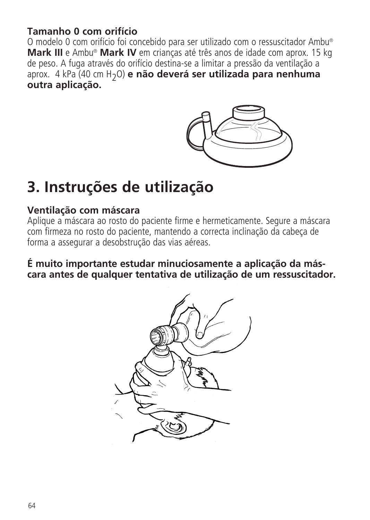### **Tamanho 0 com orifício**

O modelo 0 com orifício foi concebido para ser utilizado com o ressuscitador Ambu® **Mark III** e Ambu® **Mark IV** em crianças até três anos de idade com aprox. 15 kg de peso. A fuga através do orifício destina-se a limitar a pressão da ventilação a aprox. 4 kPa (40 cm H2O) **e não deverá ser utilizada para nenhuma outra aplicação.**



# **3. Instruções de utilização**

### **Ventilação com máscara**

Aplique a máscara ao rosto do paciente firme e hermeticamente. Segure a máscara com firmeza no rosto do paciente, mantendo a correcta inclinação da cabeça de forma a assegurar a desobstrução das vias aéreas.

**É muito importante estudar minuciosamente a aplicação da máscara antes de qualquer tentativa de utilização de um ressuscitador.**

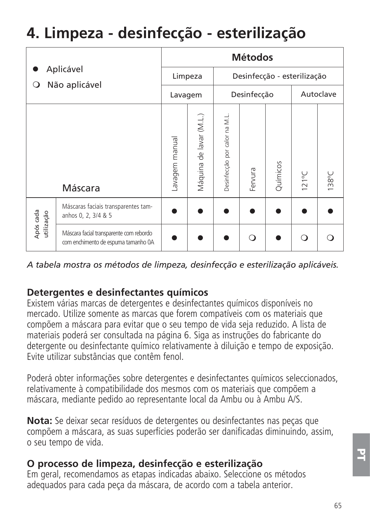# **4. Limpeza - desinfecção - esterilização**

| Aplicável<br>Não aplicável<br>O |                                                                                | <b>Métodos</b> |                         |                              |         |          |                 |       |
|---------------------------------|--------------------------------------------------------------------------------|----------------|-------------------------|------------------------------|---------|----------|-----------------|-------|
|                                 |                                                                                | Limpeza        |                         | Desinfecção - esterilização  |         |          |                 |       |
|                                 |                                                                                | Lavagem        |                         | Desinfecção                  |         |          | Autoclave       |       |
|                                 | Máscara                                                                        | avagem manual  | Máquina de lavar (M.L.) | Desinfecção por calor na M.L | Fervura | Químicos | $121^{\circ}$ C | 138°C |
| Após cada<br>utilização         | Máscaras faciais transparentes tam-<br>anhos 0, 2, 3/4 & 5                     |                |                         |                              |         |          |                 |       |
|                                 | Máscara facial transparente com rebordo<br>com enchimento de espuma tamanho 0A |                |                         |                              | ∩       |          |                 |       |

*A tabela mostra os métodos de limpeza, desinfecção e esterilização aplicáveis.*

# **Detergentes e desinfectantes químicos**

Existem várias marcas de detergentes e desinfectantes químicos disponíveis no mercado. Utilize somente as marcas que forem compatíveis com os materiais que compõem a máscara para evitar que o seu tempo de vida seja reduzido. A lista de materiais poderá ser consultada na página 6. Siga as instruções do fabricante do detergente ou desinfectante químico relativamente à diluição e tempo de exposição. Evite utilizar substâncias que contêm fenol.

Poderá obter informações sobre detergentes e desinfectantes químicos seleccionados, relativamente à compatibilidade dos mesmos com os materiais que compõem a máscara, mediante pedido ao representante local da Ambu ou à Ambu A/S.

**Nota:** Se deixar secar resíduos de detergentes ou desinfectantes nas peças que compõem a máscara, as suas superfícies poderão ser danificadas diminuindo, assim, o seu tempo de vida.

### **O processo de limpeza, desinfecção e esterilização**

Em geral, recomendamos as etapas indicadas abaixo. Seleccione os métodos adequados para cada peça da máscara, de acordo com a tabela anterior.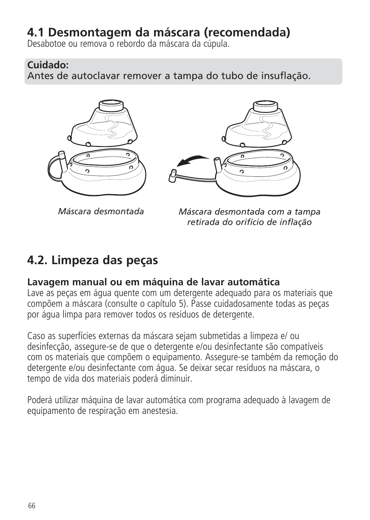# **4.1 Desmontagem da máscara (recomendada)**

Desabotoe ou remova o rebordo da máscara da cúpula.

### **Cuidado:**

Antes de autoclavar remover a tampa do tubo de insuflação.





*Máscara desmontada*

*Máscara desmontada com a tampa retirada do orifício de inflação*

# **4.2. Limpeza das peças**

# **Lavagem manual ou em máquina de lavar automática**

Lave as peças em água quente com um detergente adequado para os materiais que compõem a máscara (consulte o capítulo 5). Passe cuidadosamente todas as peças por água limpa para remover todos os resíduos de detergente.

Caso as superfícies externas da máscara sejam submetidas a limpeza e/ ou desinfecção, assegure-se de que o detergente e/ou desinfectante são compatíveis com os materiais que compõem o equipamento. Assegure-se também da remoção do detergente e/ou desinfectante com água. Se deixar secar resíduos na máscara, o tempo de vida dos materiais poderá diminuir.

Poderá utilizar máquina de lavar automática com programa adequado à lavagem de equipamento de respiração em anestesia.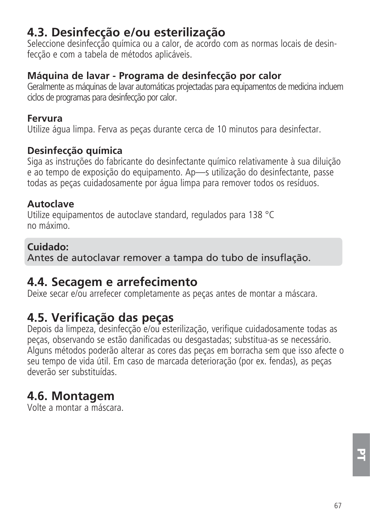# **4.3. Desinfecção e/ou esterilização**

Seleccione desinfecção química ou a calor, de acordo com as normas locais de desinfecção e com a tabela de métodos aplicáveis.

## **Máquina de lavar - Programa de desinfecção por calor**

Geralmente as máquinas de lavar automáticas projectadas para equipamentos de medicina incluem ciclos de programas para desinfecção por calor.

### **Fervura**

Utilize água limpa. Ferva as peças durante cerca de 10 minutos para desinfectar.

### **Desinfecção química**

Siga as instruções do fabricante do desinfectante químico relativamente à sua diluição e ao tempo de exposição do equipamento. Ap—s utilização do desinfectante, passe todas as peças cuidadosamente por água limpa para remover todos os resíduos.

## **Autoclave**

Utilize equipamentos de autoclave standard, regulados para 138 °C no máximo.

## **Cuidado:**

Antes de autoclavar remover a tampa do tubo de insuflação.

# **4.4. Secagem e arrefecimento**

Deixe secar e/ou arrefecer completamente as pecas antes de montar a máscara.

# **4.5. Verificação das peças**

Depois da limpeza, desinfecção e/ou esterilização, verifique cuidadosamente todas as peças, observando se estão danificadas ou desgastadas; substitua-as se necessário. Alguns métodos poderão alterar as cores das peças em borracha sem que isso afecte o seu tempo de vida útil. Em caso de marcada deterioração (por ex. fendas), as peças deverão ser substituídas.

# **4.6. Montagem**

Volte a montar a máscara.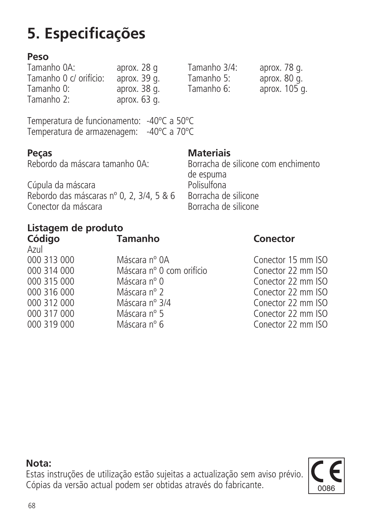**Nota:**

# **5. Especificações**

**Peso** Tamanho 0 c/ orifício: aprox. 39 g. Tamanho 5: aprox. 80 g. Tamanho 0: aprox. 38 g. Tamanho 6: aprox. 105 g.  $aprox. 63<sub>q</sub>$ .

Temperatura de funcionamento: -40ºC a 50ºC Temperatura de armazenagem: -40ºC a 70ºC

**Peças Materiais**<br>Rebordo da máscara tamanho 0A: Borracha de

Borracha de silicone com enchimento de espuma<br>Polisulfona Cúpula da máscara<br>Rebordo das máscaras nº 0 - 2 - 3/4 - 5 & 6 - - - Rorracha de silicone Rebordo das máscaras nº 0, 2, 3/4, 5 & 6 Borracha de silicone<br>Conector da máscara

## **Listagem de produto Código Tamanho Conector**

Conector da máscara

| Azul        |                           |
|-------------|---------------------------|
| 000 313 000 | Máscara nº 0A             |
| 000 314 000 | Máscara nº 0 com orifício |
| 000 315 000 | Máscara nº 0              |
| 000 316 000 | Máscara nº 2              |
| 000 312 000 | Máscara nº 3/4            |
| 000 317 000 | Máscara nº 5              |
| 000 319 000 | Máscara nº 6              |

Conector 15 mm ISO Conector 22 mm ISO Conector 22 mm ISO Conector 22 mm ISO Conector 22 mm ISO Conector 22 mm ISO Conector 22 mm ISO

aprox. 28 g Tamanho 3/4: aprox. 78 g.<br>aprox. 39 g. Tamanho 5: aprox. 80 g.

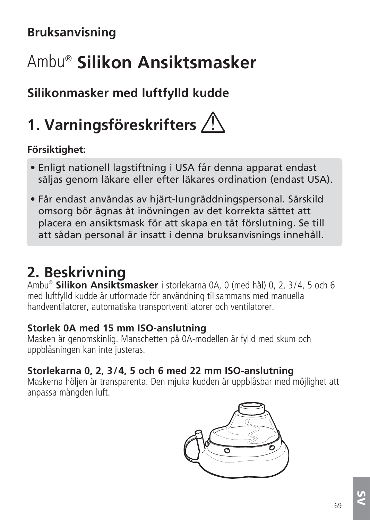# **Bruksanvisning**

# Ambu® **Silikon Ansiktsmasker**

# **Silikonmasker med luftfylld kudde**

# **1. Varningsföreskrifters**

# **Försiktighet:**

- Enligt nationell lagstiftning i USA får denna apparat endast säljas genom läkare eller efter läkares ordination (endast USA).
- Får endast användas av hjärt-lungräddningspersonal. Särskild omsorg bör ägnas åt inövningen av det korrekta sättet att placera en ansiktsmask för att skapa en tät förslutning. Se till att sådan personal är insatt i denna bruksanvisnings innehåll.

# **2. Beskrivning**

Ambu®  **Silikon Ansiktsmasker** i storlekarna 0A, 0 (med hål) 0, 2, 3/4, 5 och 6 med luftfylld kudde är utformade för användning tillsammans med manuella handventilatorer, automatiska transportventilatorer och ventilatorer.

# **Storlek 0A med 15 mm ISO-anslutning**

Masken är genomskinlig. Manschetten på 0A-modellen är fylld med skum och uppblåsningen kan inte justeras.

# **Storlekarna 0, 2, 3/4, 5 och 6 med 22 mm ISO-anslutning**

Maskerna höljen är transparenta. Den mjuka kudden är uppblåsbar med möjlighet att anpassa mängden luft.

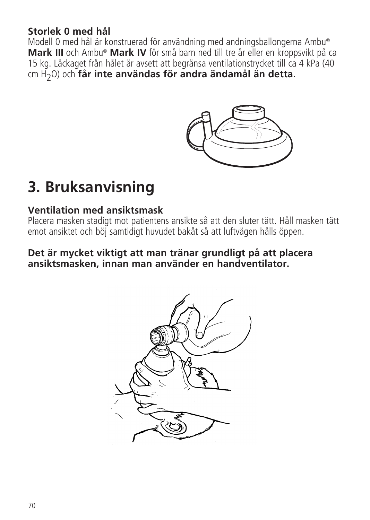## **Storlek 0 med hål**

Modell 0 med hål är konstruerad för användning med andningsballongerna Ambu® **Mark III** och Ambu® **Mark IV** för små barn ned till tre år eller en kroppsvikt på ca 15 kg. Läckaget från hålet är avsett att begränsa ventilationstrycket till ca 4 kPa (40 cm H2O) och **får inte användas för andra ändamål än detta.**



# **3. Bruksanvisning**

## **Ventilation med ansiktsmask**

Placera masken stadigt mot patientens ansikte så att den sluter tätt. Håll masken tätt emot ansiktet och böj samtidigt huvudet bakåt så att luftvägen hålls öppen.

### **Det är mycket viktigt att man tränar grundligt på att placera ansiktsmasken, innan man använder en handventilator.**

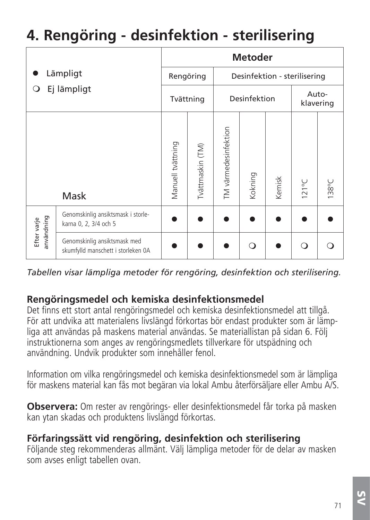# **4. Rengöring - desinfektion - sterilisering**

|                           |                                                                    | <b>Metoder</b>    |                              |                      |         |        |                    |       |
|---------------------------|--------------------------------------------------------------------|-------------------|------------------------------|----------------------|---------|--------|--------------------|-------|
| Lämpligt                  | Rengöring                                                          |                   | Desinfektion - sterilisering |                      |         |        |                    |       |
| Ej lämpligt<br>Ő          |                                                                    | Tvättning         |                              | Desinfektion         |         |        | Auto-<br>klavering |       |
|                           | Mask                                                               | Manuell tvättning | Ivättmaskin (TM)             | TM värmedesinfektion | Kokning | Kemisk | $121^{\circ}$ C    | 138°C |
| användning<br>Efter varje | Genomskinlig ansiktsmask i storle-<br>karna 0, 2, 3/4 och 5        |                   |                              |                      |         |        |                    |       |
|                           | Genomskinlig ansiktsmask med<br>skumfylld manschett i storleken OA |                   |                              |                      | ∩       |        | ∩                  |       |

*Tabellen visar lämpliga metoder för rengöring, desinfektion och sterilisering.*

## **Rengöringsmedel och kemiska desinfektionsmedel**

Det finns ett stort antal rengöringsmedel och kemiska desinfektionsmedel att tillgå. För att undvika att materialens livslängd förkortas bör endast produkter som är lämpliga att användas på maskens material användas. Se materiallistan på sidan 6. Följ instruktionerna som anges av rengöringsmedlets tillverkare för utspädning och användning. Undvik produkter som innehåller fenol.

Information om vilka rengöringsmedel och kemiska desinfektionsme del som är lämpliga för maskens material kan fås mot begäran via lokal Ambu återförsäljare eller Ambu A/S.

**Observera:** Om rester av rengörings- eller desinfektionsmedel får torka på masken kan ytan skadas och produktens livslängd förkortas.

### **Förfaringssätt vid rengöring, desinfektion och sterilisering**

Följande steg rekommenderas allmänt. Välj lämpliga metoder för de delar av masken som avses enligt tabellen ovan.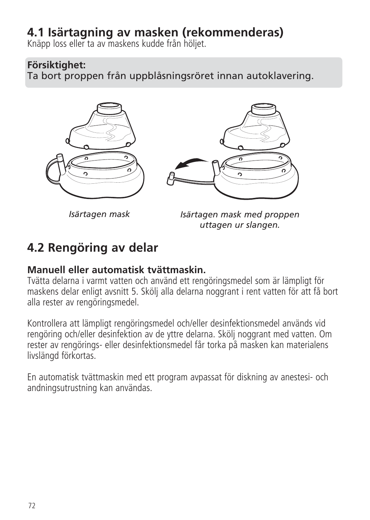# **4.1 Isärtagning av masken (rekommenderas)**

Knäpp loss eller ta av maskens kudde från höljet.

## **Försiktighet:**

Ta bort proppen från uppblåsningsröret innan autoklavering.



*Isärtagen mask*

*Isärtagen mask med proppen uttagen ur slangen.*

# **4.2 Rengöring av delar**

## **Manuell eller automatisk tvättmaskin.**

Tvätta delarna i varmt vatten och använd ett rengöringsmedel som är lämpligt för maskens delar enligt avsnitt 5. Skölj alla delarna noggrant i rent vatten för att få bort alla rester av rengöringsmedel.

Kontrollera att lämpligt rengöringsmedel och/eller desinfektionsmedel används vid rengöring och/eller desinfektion av de yttre delarna. Skölj noggrant med vatten. Om rester av rengörings- eller desinfek tionsmedel får torka på masken kan materialens livslängd förkortas.

En automatisk tvättmaskin med ett program avpassat för diskning av anestesi- och andningsutrustning kan användas.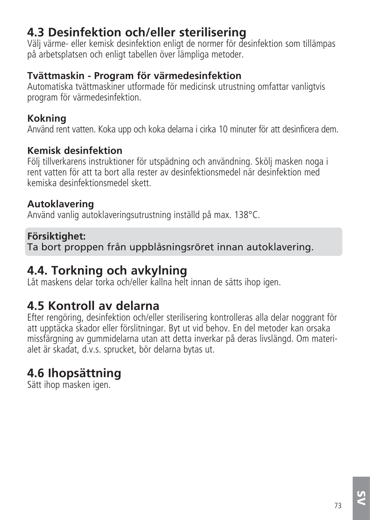# **4.3 Desinfektion och/eller sterilisering**

Välj värme- eller kemisk desinfektion enligt de normer för desinfektion som tillämpas på arbetsplatsen och enligt tabellen över lämpliga metoder.

### **Tvättmaskin - Program för värmedesinfektion**

Automatiska tvättmaskiner utformade för medicinsk utrustning omfattar vanligtvis program för värmedesinfektion.

### **Kokning**

Använd rent vatten. Koka upp och koka delarna i cirka 10 minuter för att desinficera dem.

### **Kemisk desinfektion**

Följ tillverkarens instruktioner för utspädning och användning. Skölj masken noga i rent vatten för att ta bort alla rester av desinfektionsmedel när desinfektion med kemiska desinfektionsmedel skett.

### **Autoklavering**

Använd vanlig autoklaveringsutrustning inställd på max. 138°C.

### **Försiktighet:**

Ta bort proppen från uppblåsningsröret innan autoklavering.

# **4.4. Torkning och avkylning**

Låt maskens delar torka och/eller kallna helt innan de sätts ihop igen.

## **4.5 Kontroll av delarna**

Efter rengöring, desinfektion och/eller sterilisering kontrolleras alla delar noggrant för att upptäcka skador eller förslitningar. Byt ut vid behov. En del metoder kan orsaka missfärgning av gummidelarna utan att detta inverkar på deras livslängd. Om materialet är skadat, d.v.s. sprucket, bör delarna bytas ut.

# **4.6 Ihopsättning**

Sätt ihop masken igen.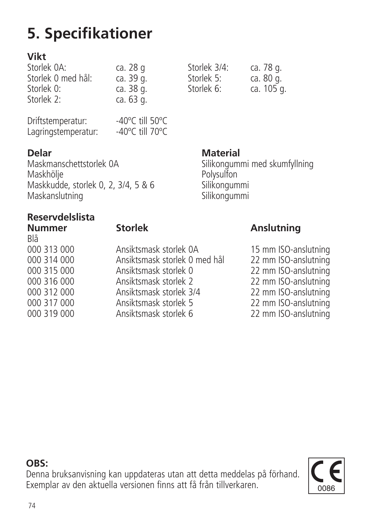# **5. Specifikationer**

### **Vikt**

| Storlek OA:        | ca. 28 g  | Storlek 3/4: | ca. 78 g. |
|--------------------|-----------|--------------|-----------|
| Storlek 0 med hål: | ca. 39 g. | Storlek 5:   | ca. 80 g. |
| Storlek 0:         | ca. 38 g. | Storlek 6:   | ca. 105   |
| Storlek 2:         | ca. 63 g. |              |           |

| Driftstemperatur:   | -40 $^{\circ}$ C till 50 $^{\circ}$ C |  |
|---------------------|---------------------------------------|--|
| Lagringstemperatur: | -40 $^{\circ}$ C till 70 $^{\circ}$ C |  |

**Delar Material**<br>Maskmanschettstorlek 0A material Maskmanschettstorlek 0A Silikongummi med skumfyllning<br>Maskhölie Maskhölje Polysulfon Maskkudde, storlek 0, 2, 3/4, 5 & 6 Silikongummi Maskanslutning Silikongummi

# **Reservdelslista**

| I<br>×<br>$\sim$<br>۰.<br>v |
|-----------------------------|
|                             |

| Blå         |                               |                      |
|-------------|-------------------------------|----------------------|
| 000 313 000 | Ansiktsmask storlek OA        | 15 mm ISO-anslutning |
| 000 314 000 | Ansiktsmask storlek 0 med hål | 22 mm ISO-anslutning |
| 000 315 000 | Ansiktsmask storlek 0         | 22 mm ISO-anslutning |
| 000 316 000 | Ansiktsmask storlek 2         | 22 mm ISO-anslutning |
| 000 312 000 | Ansiktsmask storlek 3/4       | 22 mm ISO-anslutning |
| 000 317 000 | Ansiktsmask storlek 5         | 22 mm ISO-anslutning |
| 000 319 000 | Ansiktsmask storlek 6         | 22 mm ISO-anslutning |
|             |                               |                      |

Storlek 6: ca. 105 g.

### **Nummer Store Store Anslutning**

**OBS:**

Denna bruksanvisning kan uppdateras utan att detta meddelas på förhand. Exemplar av den aktuella versionen finns att få från tillverkaren.

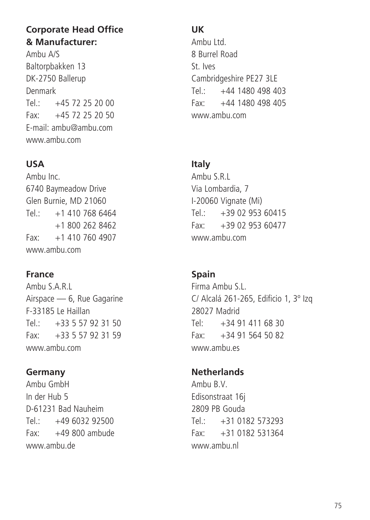### **Corporate Head Office & Manufacturer:**

Ambu A/S Baltorpbakken 13 DK-2750 Ballerup Denmark  $Tel: +4572252000$  $Fay: 445, 72, 25, 20, 50$ E-mail: ambu@ambu.com www.ambu.com

### **USA**

Ambu Inc. 6740 Baymeadow Drive Glen Burnie, MD 21060  $Tel: +14107686464$  +1 800 262 8462 Fax: +1 410 760 4907 www.ambu.com

### **France**

Ambu S.A.R.L Airspace — 6, Rue Gagarine F-33185 Le Haillan  $T_{\text{el}}$ : +33 5 57 92 31 50 Fax: +33 5 57 92 31 59 www.ambu.com

### **Germany**

Ambu GmbH In der Hub 5 D-61231 Bad Nauheim  $Tel: +49603292500$ Fax: +49 800 ambude www.ambu.de

### **UK**

Ambu Ltd. 8 Burrel Road St. Ives Cambridgeshire PE27 3LE Tel.: +44 1480 498 403  $F_{2V}$ :  $+44$  1480 498 405 www.ambu.com

### **Italy**

Ambu S.R.L Via Lombardia, 7 I-20060 Vignate (Mi)  $Tel: +39.02.953.60415$  $Fax: +390295360477$ www.ambu.com

### **Spain**

Firma Ambu S.L. C/ Alcalá 261-265, Edificio 1, 3º Izq 28027 Madrid Tel: +34 91 411 68 30  $Fax: +34915645082$ www.ambu.gc

### **Netherlands**

Ambu B.V. Edisonstraat 16j 2809 PB Gouda  $T_{\text{el}}$ : +31 0182 573293 Fax: +31 0182 531364 www.ambu.nl